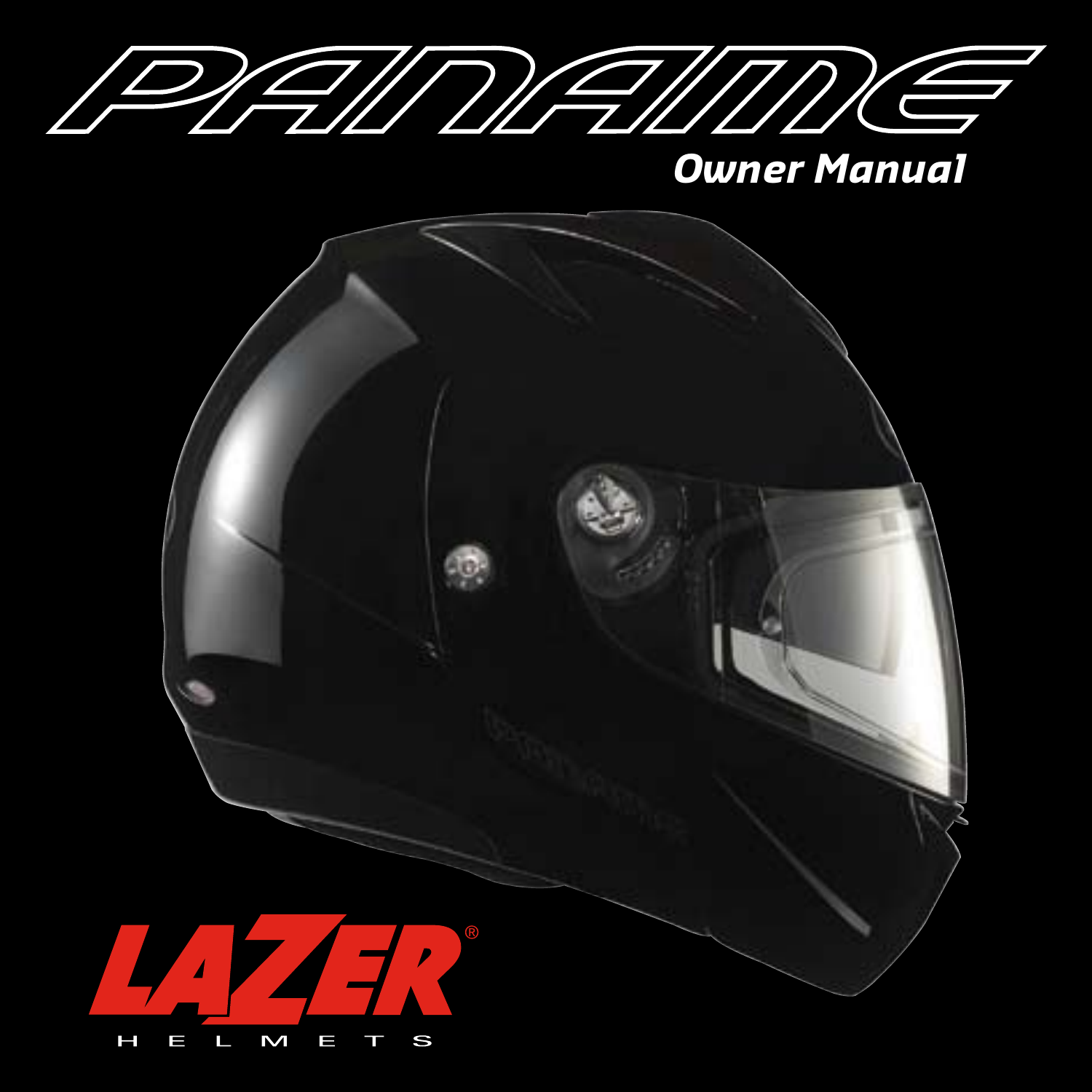

*Owner Manual*

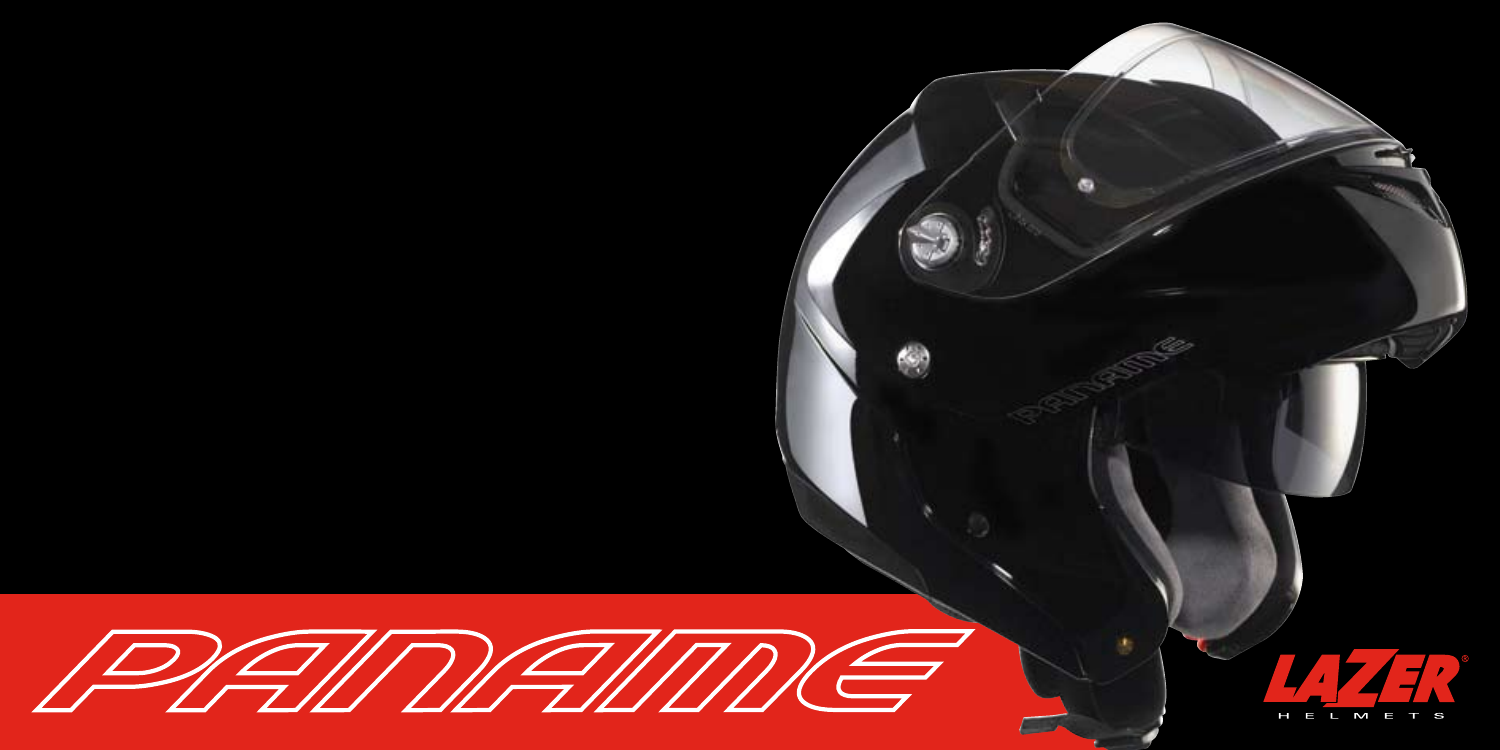

Ø

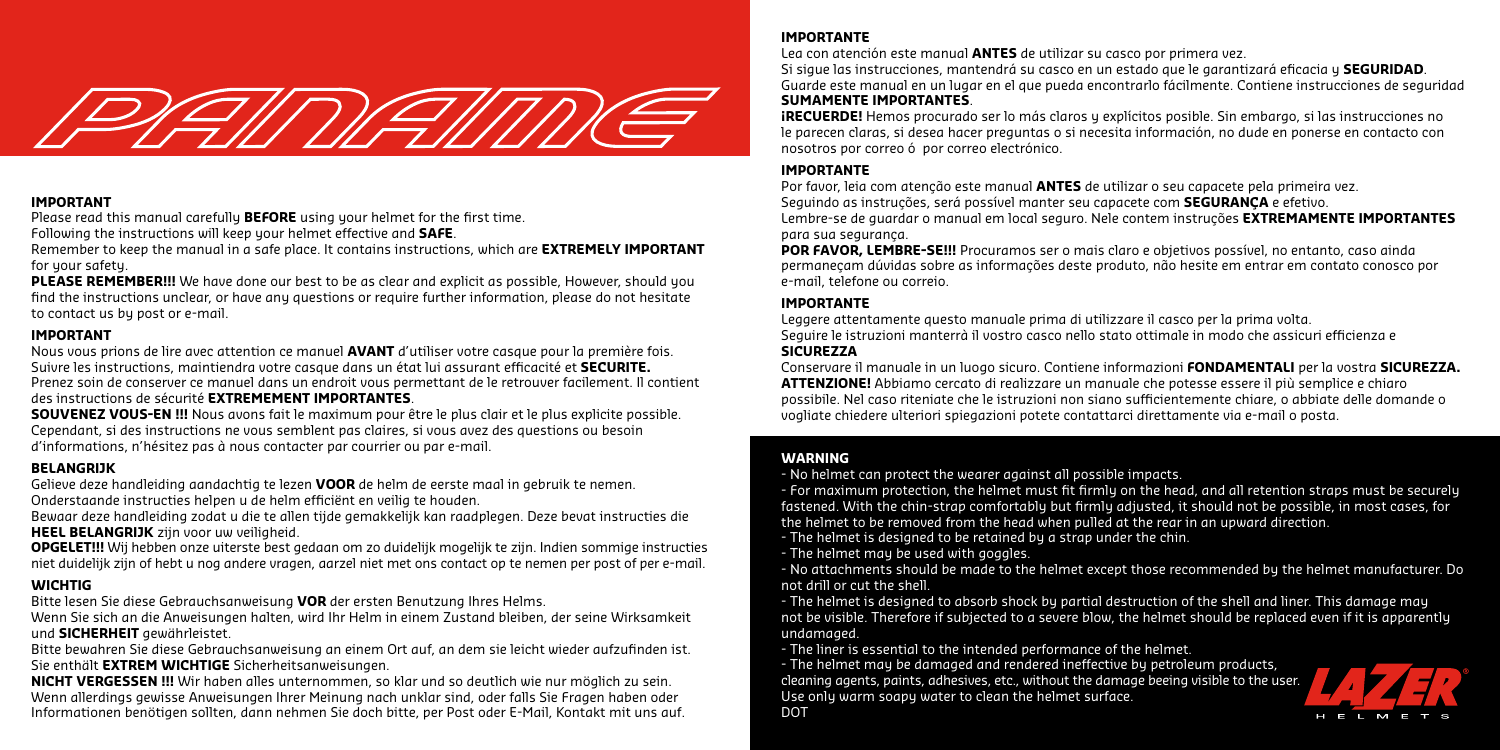

#### **IMPORTANT**

Please read this manual carefully **BEFORE** using your helmet for the first time.

Following the instructions will keep your helmet effective and **SAFE**.

Remember to keep the manual in a safe place. It contains instructions, which are **EXTREMELY IMPORTANT** for your safety.

**PLEASE REMEMBER!!!** We have done our best to be as clear and explicit as possible. However, should you find the instructions unclear, or have any questions or require further information, please do not hesitate to contact us by post or e-mail.

### **IMPORTANT**

Nous vous prions de lire avec attention ce manuel **AVANT** d'utiliser votre casque pour la première fois. Suivre les instructions, maintiendra votre casque dans un état lui assurant efficacité et **SECURITE.** Prenez soin de conserver ce manuel dans un endroit vous permettant de le retrouver facilement. Il contient des instructions de sécurité **EXTREMEMENT IMPORTANTES**.

**SOUVENEZ VOUS-EN !!!** Nous avons fait le maximum pour être le plus clair et le plus explicite possible. Cependant, si des instructions ne vous semblent pas claires, si vous avez des questions ou besoin d'informations, n'hésitez pas à nous contacter par courrier ou par e-mail.

### **BELANGRIJK**

Gelieve deze handleiding aandachtig te lezen **VOOR** de helm de eerste maal in gebruik te nemen. Onderstaande instructies helpen u de helm efficiënt en veilig te houden.

Bewaar deze handleiding zodat u die te allen tijde gemakkelijk kan raadplegen. Deze bevat instructies die **HEEL BELANGRIJK** zijn voor uw veiligheid.

**OPGELET!!!** Wij hebben onze uiterste best gedaan om zo duidelijk mogelijk te zijn. Indien sommige instructies niet duidelijk zijn of hebt u nog andere vragen, aarzel niet met ons contact op te nemen per post of per e-mail.

### **WICHTIG**

Bitte lesen Sie diese Gebrauchsanweisung **VOR** der ersten Benutzung Ihres Helms.

Wenn Sie sich an die Anweisungen halten, wird Ihr Helm in einem Zustand bleiben, der seine Wirksamkeit und **SICHERHEIT** gewährleistet.

Bitte bewahren Sie diese Gebrauchsanweisung an einem Ort auf, an dem sie leicht wieder aufzufinden ist. Sie enthält **EXTREM WICHTIGE** Sicherheitsanweisungen.

**NICHT VERGESSEN !!!** Wir haben alles unternommen, so klar und so deutlich wie nur möglich zu sein. Wenn allerdings gewisse Anweisungen Ihrer Meinung nach unklar sind, oder falls Sie Fragen haben oder Informationen benötigen sollten, dann nehmen Sie doch bitte, per Post oder E-Mail, Kontakt mit uns auf.

### **IMPORTANTE**

Lea con atención este manual **ANTES** de utilizar su casco por primera vez.

Si sigue las instrucciones, mantendrá su casco en un estado que le garantizará eficacia y **SEGURIDAD**. Guarde este manual en un lugar en el que pueda encontrarlo fácilmente. Contiene instrucciones de seguridad **SUMAMENTE IMPORTANTES**.

**¡RECUERDE!** Hemos procurado ser lo más claros y explícitos posible. Sin embargo, si las instrucciones no le parecen claras, si desea hacer preguntas o si necesita información, no dude en ponerse en contacto con nosotros por correo ó por correo electrónico.

### **IMPORTANTE**

Por favor, leia com atenção este manual **ANTES** de utilizar o seu capacete pela primeira vez. Seguindo as instruções, será possível manter seu capacete com **SEGURANÇA** e efetivo. Lembre-se de guardar o manual em local seguro. Nele contem instruções **EXTREMAMENTE IMPORTANTES** para sua segurança.

**POR FAVOR, LEMBRE-SE!!!** Procuramos ser o mais claro e objetivos possível, no entanto, caso ainda permaneçam dúvidas sobre as informações deste produto, não hesite em entrar em contato conosco por e-mail, telefone ou correio.

### **IMPORTANTE**

Leggere attentamente questo manuale prima di utilizzare il casco per la prima volta. Seguire le istruzioni manterrà il vostro casco nello stato ottimale in modo che assicuri efficienza e

### **SICUREZZA**

Conservare il manuale in un luogo sicuro. Contiene informazioni **FONDAMENTALI** per la vostra **SICUREZZA. ATTENZIONE!** Abbiamo cercato di realizzare un manuale che potesse essere il più semplice e chiaro possibile. Nel caso riteniate che le istruzioni non siano sufficientemente chiare, o abbiate delle domande o vogliate chiedere ulteriori spiegazioni potete contattarci direttamente via e-mail o posta.

### **WARNING**

- No helmet can protect the wearer against all possible impacts.

- For maximum protection, the helmet must fit firmly on the head, and all retention straps must be securely fastened. With the chin-strap comfortably but firmly adjusted, it should not be possible, in most cases, for the helmet to be removed from the head when pulled at the rear in an upward direction.

- The helmet is designed to be retained by a strap under the chin.
- The helmet may be used with goggles.

- No attachments should be made to the helmet except those recommended by the helmet manufacturer. Do not drill or cut the shell.

- The helmet is designed to absorb shock by partial destruction of the shell and liner. This damage may not be visible. Therefore if subjected to a severe blow, the helmet should be replaced even if it is apparently undamaged.

- The liner is essential to the intended performance of the helmet.

- The helmet may be damaged and rendered ineffective by petroleum products, cleaning agents, paints, adhesives, etc., without the damage beeing visible to the user. Use only warm soapy water to clean the helmet surface. **DOT** 

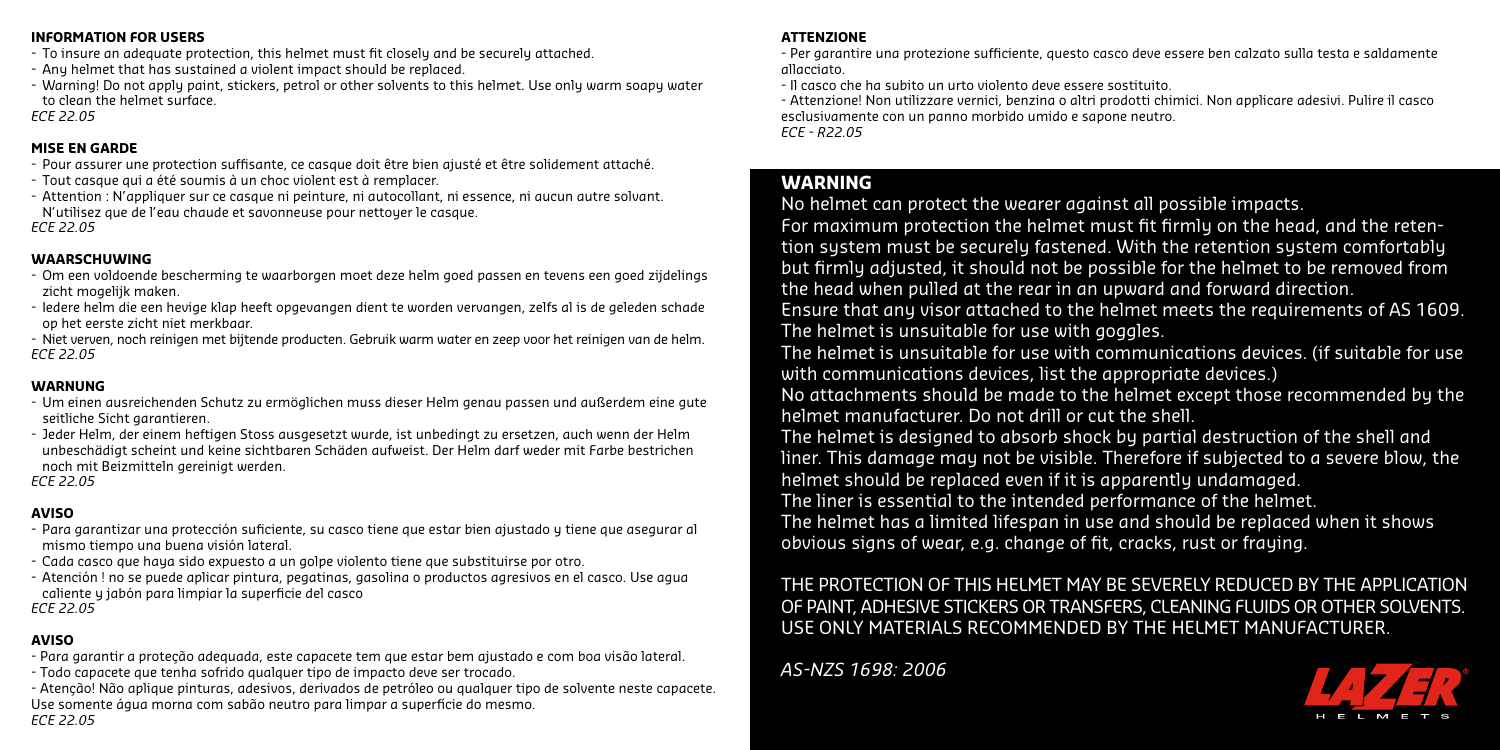#### **INFORMATION FOR USERS**

- To insure an adequate protection, this helmet must fit closely and be securely attached.
- Any helmet that has sustained a violent impact should be replaced.
- Warning! Do not apply paint, stickers, petrol or other solvents to this helmet. Use only warm soapy water to clean the helmet surface.

*ECE 22.05*

### **MISE EN GARDE**

- Pour assurer une protection suffisante, ce casque doit être bien ajusté et être solidement attaché.
- Tout casque qui a été soumis à un choc violent est à remplacer.
- Attention : N'appliquer sur ce casque ni peinture, ni autocollant, ni essence, ni aucun autre solvant. N'utilisez que de l'eau chaude et savonneuse pour nettoyer le casque.

*ECE 22.05*

### **WAARSCHUWING**

- Om een voldoende bescherming te waarborgen moet deze helm goed passen en tevens een goed zijdelings zicht mogelijk maken.
- Iedere helm die een hevige klap heeft opgevangen dient te worden vervangen, zelfs al is de geleden schade op het eerste zicht niet merkbaar.
- Niet verven, noch reinigen met bijtende producten. Gebruik warm water en zeep voor het reinigen van de helm. *ECE 22.05*

# **WARNUNG**

- Um einen ausreichenden Schutz zu ermöglichen muss dieser Helm genau passen und außerdem eine gute seitliche Sicht garantieren.
- Jeder Helm, der einem heftigen Stoss ausgesetzt wurde, ist unbedingt zu ersetzen, auch wenn der Helm unbeschädigt scheint und keine sichtbaren Schäden aufweist. Der Helm darf weder mit Farbe bestrichen noch mit Beizmitteln gereinigt werden.

*ECE 22.05*

# **AVISO**

- Para garantizar una protección suficiente, su casco tiene que estar bien ajustado y tiene que asegurar al mismo tiempo una buena visión lateral.
- Cada casco que haya sido expuesto a un golpe violento tiene que substituirse por otro.
- Atención ! no se puede aplicar pintura, pegatinas, gasolina o productos agresivos en el casco. Use agua caliente y jabón para limpiar la superficie del casco

*ECE 22.05*

### **AVISO**

- Para garantir a proteção adequada, este capacete tem que estar bem ajustado e com boa visão lateral.
- Todo capacete que tenha sofrido qualquer tipo de impacto deve ser trocado.
- Atenção! Não aplique pinturas, adesivos, derivados de petróleo ou qualquer tipo de solvente neste capacete. Use somente água morna com sabão neutro para limpar a superfície do mesmo. *ECE 22.05*

### **ATTENZIONE**

- Per garantire una protezione sufficiente, questo casco deve essere ben calzato sulla testa e saldamente allacciato.

- Il casco che ha subito un urto violento deve essere sostituito.

- Attenzione! Non utilizzare vernici, benzina o altri prodotti chimici. Non applicare adesivi. Pulire il casco esclusivamente con un panno morbido umido e sapone neutro.

*ECE - R22.05*

# **WARNING**

No helmet can protect the wearer against all possible impacts.

For maximum protection the helmet must fit firmly on the head, and the retention system must be securely fastened. With the retention system comfortably but firmly adjusted, it should not be possible for the helmet to be removed from the head when pulled at the rear in an upward and forward direction.

Ensure that any visor attached to the helmet meets the requirements of AS 1609. The helmet is unsuitable for use with goggles.

The helmet is unsuitable for use with communications devices. (if suitable for use with communications devices, list the appropriate devices.)

No attachments should be made to the helmet except those recommended by the helmet manufacturer. Do not drill or cut the shell.

The helmet is designed to absorb shock by partial destruction of the shell and liner. This damage may not be visible. Therefore if subjected to a severe blow, the helmet should be replaced even if it is apparently undamaged.

The liner is essential to the intended performance of the helmet.

The helmet has a limited lifespan in use and should be replaced when it shows obvious signs of wear, e.g. change of fit, cracks, rust or fraying.

# THE PROTECTION OF THIS HELMET MAY BE SEVERELY REDUCED BY THE APPLICATION OF PAINT, ADHESIVE STICKERS OR TRANSFERS, CLEANING FLUIDS OR OTHER SOLVENTS. USE ONLY MATERIALS RECOMMENDED BY THE HELMET MANUFACTURER.

*AS-NZS 1698: 2006*

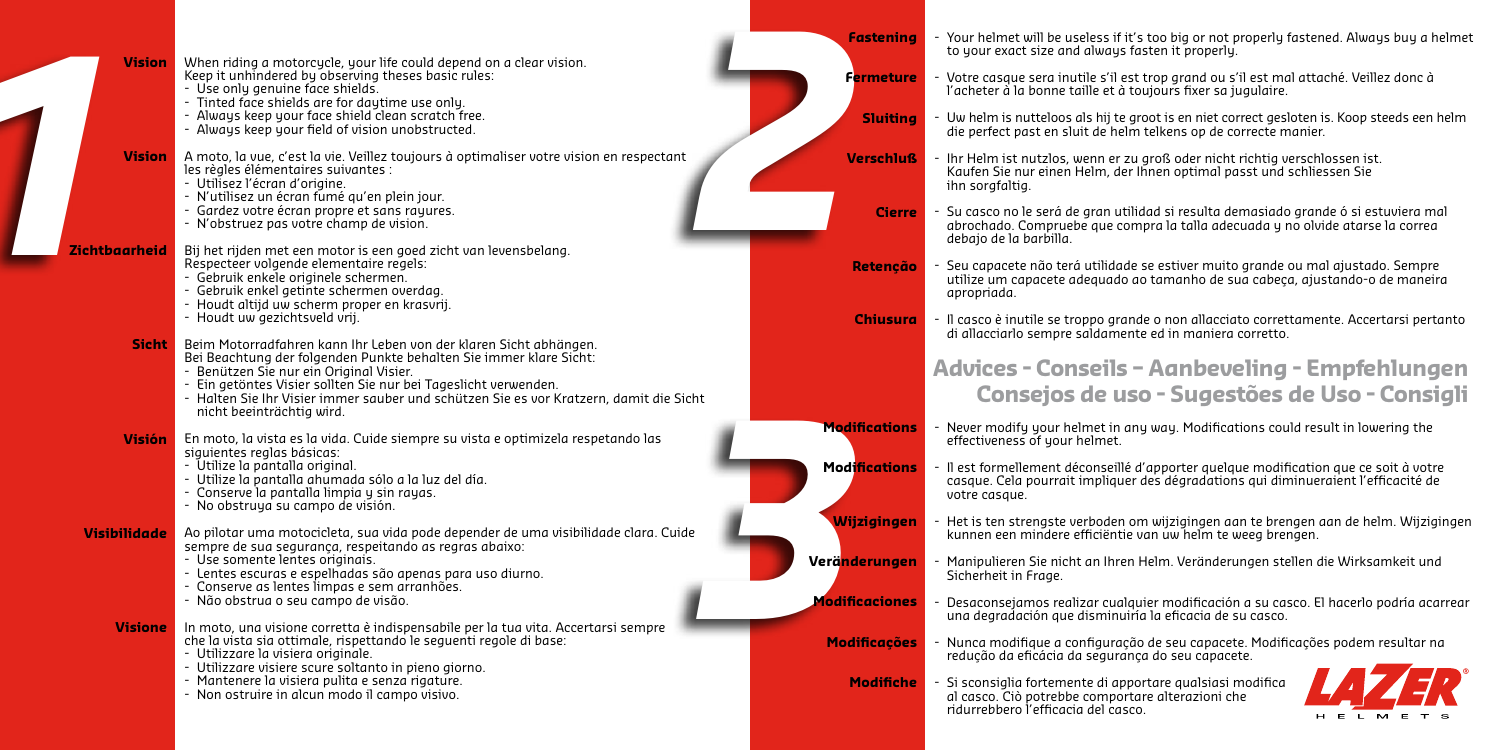| <b>Vision</b>       | When riding a motorcycle, your life could depend on a clear vision.<br>Keep it unhindered by observing theses basic rules:<br>- Use only genuine face shields.<br>- Tinted face shields are for daytime use only.<br>- Always keep your face shield clean scratch free.<br>- Always keep your field of vision unobstructed.                                                  | <b>Fastening</b><br><b>Fermeture</b><br><b>Sluiting</b>                    | Your helmet will be useless if it's too bie<br>to your exact size and always fasten it<br>Votre casque sera inutile s'il est trop gr<br>l'acheter à la bonne taille et à toujours<br>Uw helm is nutteloos als hij te groot is e<br>die perfect past en sluit de helm telkens |
|---------------------|------------------------------------------------------------------------------------------------------------------------------------------------------------------------------------------------------------------------------------------------------------------------------------------------------------------------------------------------------------------------------|----------------------------------------------------------------------------|------------------------------------------------------------------------------------------------------------------------------------------------------------------------------------------------------------------------------------------------------------------------------|
| <b>Vision</b>       | A moto, la vue, c'est la vie. Veillez toujours à optimaliser votre vision en respectant<br>les règles élémentaires suivantes :<br>- Utilisez l'écran d'origine.<br>- N'utilisez un écran fumé qu'en plein jour.<br>- Gardez votre écran propre et sans rayures.<br>- N'obstruez pas votre champ de vision.                                                                   | <b>Verschluß</b><br><b>Cierre</b>                                          | Ihr Helm ist nutzlos, wenn er zu groß o<br>Kaufen Sie nur einen Helm, der Ihnen of<br>ihn sorgfaltig.<br>Su casco no le será de gran utilidad si r<br>abrochado. Compruebe que compra la t                                                                                   |
| Zichtbaarheid       | Bij het rijden met een motor is een goed zicht van levensbelang.<br>Respecteer volgende elementaire regels:<br>- Gebruik enkele originele schermen.<br>- Gebruik enkel getinte schermen overdag.<br>- Houdt altijd uw scherm proper en krasvrij.<br>- Houdt uw gezichtsveld vrij.                                                                                            | Retenção<br><b>Chiusura</b>                                                | debajo de la barbilla.<br>Seu capacete não terá utilidade se estiv<br>utilize um capacete adequado ao tama<br>apropriada.<br>Il casco è inutile se troppo grande o nor                                                                                                       |
| <b>Sicht</b>        | Beim Motorradfahren kann Ihr Leben von der klaren Sicht abhängen.<br>Bei Beachtung der folgenden Punkte behalten Sie immer klare Sicht:<br>- Benützen Sie nur ein Original Visier.<br>- Ein getöntes Visier sollten Sie nur bei Tageslicht verwenden.<br>- Halten Sie Ihr Visier immer sauber und schützen Sie es vor Kratzern, damit die Sicht<br>nicht beeinträchtig wird. |                                                                            | di allacciarlo sempre saldamente ed in<br>Advices - Conseils - Agi<br>Consejos de uso - S                                                                                                                                                                                    |
| Visión              | En moto, la vista es la vida. Cuide siempre su vista e optimizela respetando las<br>siguientes reglas básicas:<br>- Utilize la pantalla original.<br>- Utilize la pantalla ahumada sólo a la luz del día.<br>- Conserve la pantalla limpia y sin rayas.<br>- No obstruya su campo de visión.                                                                                 | <b>Modifications</b><br><b>Modifications</b>                               | Never modify your helmet in any way.<br>effectiveness of your helmet.<br>Il est formellement déconseillé d'apport<br>casque. Cela pourrait impliquer des déc<br>votre casque.                                                                                                |
| <b>Visibilidade</b> | Ao pilotar uma motocicleta, sua vida pode depender de uma visibilidade clara. Cuide<br>sempre de sua segurança, respeitando as regras abaixo:<br>- Use somente lentes originais.<br>- Lentes escuras e espelhadas são apenas para uso diurno.<br>- Conserve as lentes limpas e sem arranhões.<br>- Não obstrua o seu campo de visão.                                         | <b>Wijzigingen</b><br>Verä <mark>nderungen</mark><br><b>Modificaciones</b> | Het is ten strengste verboden om wijzig<br>kunnen een mindere efficiëntie van uw<br>Manipulieren Sie nicht an Ihren Helm. V<br>Sicherheit in Frage.<br>Desaconsejamos realizar cualquier mo<br>una degradación que disminuiría la efic                                       |
| <b>Visione</b>      | In moto, una visione corretta è indispensabile per la tua vita. Accertarsi sempre<br>che la vista sia ottimale, rispettando le seguenti regole di base:<br>- Utilizzare la visiera originale.<br>- Utilizzare visiere scure soltanto in pieno giorno.<br>- Mantenere la visiera pulita e senza rigature.<br>- Non ostruire in alcun modo il campo visivo.                    | <b>Modificações</b><br><b>Modifiche</b>                                    | Nunca modifique a configuração de seu<br>redução da eficácia da segurança do se<br>Si sconsiglia fortemente di apportare q<br>al casco. Ciò potrebbe comportare alter<br>ridurrebbero l'efficacia del casco.                                                                 |

g or not properly fastened. Always buy a helmet properly.

- rand ou s'il est mal attaché. Veillez donc à fixer sa jugulaire.
- en niet correct gesloten is. Koop steeds een helm s op de correcte manier.
- der nicht richtig verschlossen ist. Kaufen Sie nur einen Helm, der Ihnen optimal passt und schliessen Sie
- -<br> Sulta demasiado grande ó si estuviera mal abrochado. Compruebe que compra la talla adecuada y no olvide atarse la correa
- ver muito grande ou mal ajustado. Sempre utilize um capacete adequado ao tamanho de sua cabeça, ajustando-o de maneira
- n allacciato correttamente. Accertarsi pertanto maniera corretto.

# **Advices - Conseils – Aanbeveling - Empfehlungen Consejos de uso - Sugestões de Uso - Consigli**

- Modifications could result in lowering the
- ter quelque modification que ce soit à votre cela quelque informedation que ce solt a votte<br>gradations qui diminueraient l'efficacité de
- gingen aan te brengen aan de helm. Wijzigingen kunsen aan te brengen t<br>helm te weeg brengen.
- /eränderungen stellen die Wirksamkeit und
- dificación a su casco. El hacerlo podría acarrear daciá de su casco.
- .<br>capacete. Modificações podem resultar na eu capacete.
	- Si sconsiglia fortemente di apportare qualsiasi modifica raal che compo<br>razioni che

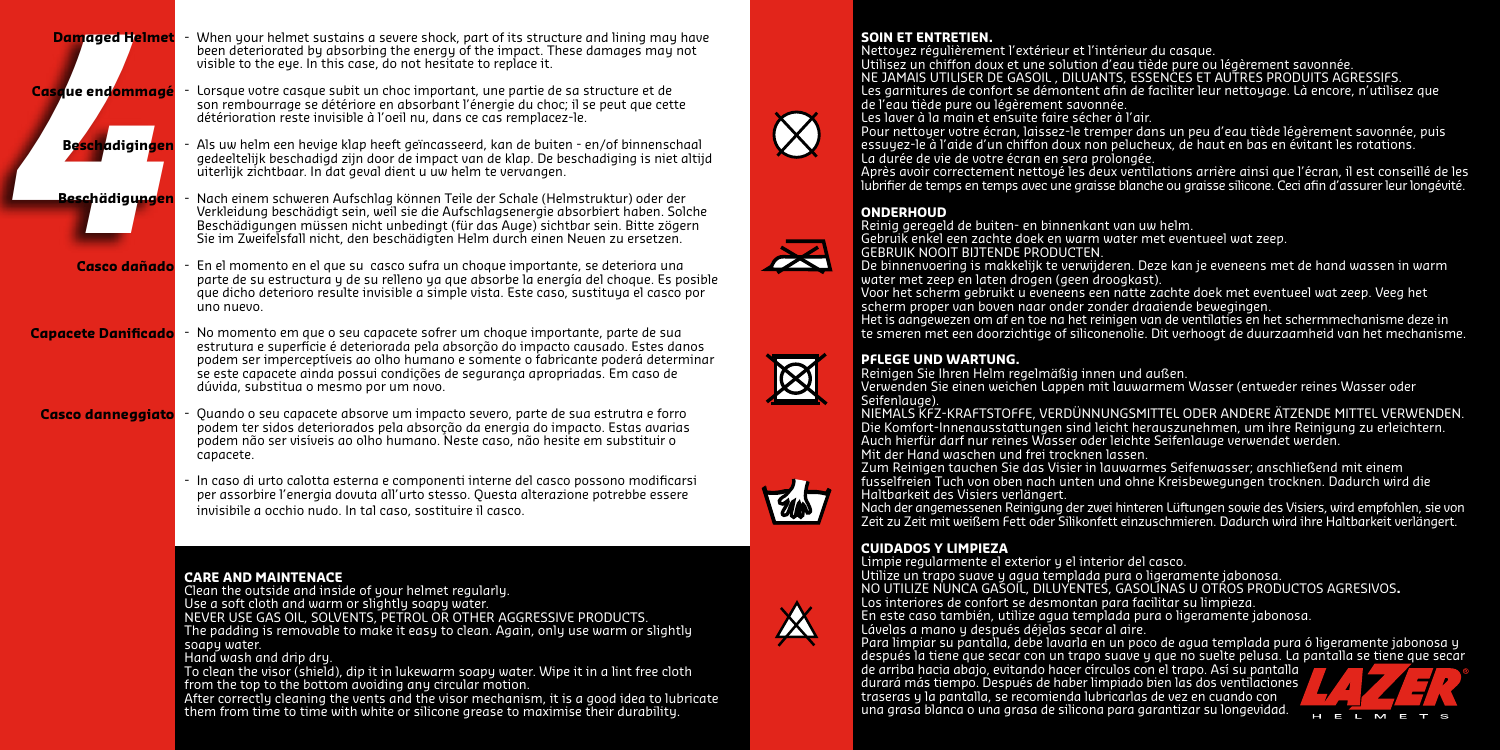| <b>Damaged Helmet</b><br>Casaue end <mark>ommagé</mark> | - When your helmet sustains a severe shock, part of its structure and lining may have<br>been deteriorated by absorbing the energy of the impact. These damages may not<br>visible to the eye. In this case, do not hesitate to replace it.<br>Lorsque votre casque subit un choc important, une partie de sa structure et de<br>son rembourrage se détériore en absorbant l'énergie du choc; il se peut que cette                                                                                                                                                                                                                                                                             | <b>SOIN ET ENT</b><br>Nettoyez rég<br>Utilisez un cl<br><b>NE JAMAIS U</b><br>Les garniture<br>de l'eau tiède                                                                                                           |
|---------------------------------------------------------|------------------------------------------------------------------------------------------------------------------------------------------------------------------------------------------------------------------------------------------------------------------------------------------------------------------------------------------------------------------------------------------------------------------------------------------------------------------------------------------------------------------------------------------------------------------------------------------------------------------------------------------------------------------------------------------------|-------------------------------------------------------------------------------------------------------------------------------------------------------------------------------------------------------------------------|
| <b>Besch</b> adigingen                                  | détérioration reste invisible à l'oeil nu, dans ce cas remplacez-le.<br>- Als uw helm een hevige klap heeft geïncasseerd, kan de buiten - en/of binnenschaal<br>gedeeltelijk beschadigd zijn door de impact van de klap. De beschadiging is niet altijd<br>uiterlijk zichtbaar. In dat geval dient u uw helm te vervangen.                                                                                                                                                                                                                                                                                                                                                                     | Les laver à la<br>Pour nettoue<br>essuyez-le à<br>La durée de v<br>Après avoir c<br>lubrifier de tei                                                                                                                    |
| Beschädiaungen                                          | Nach einem schweren Aufschlag können Teile der Schale (Helmstruktur) oder der<br>Verkleidung beschädigt sein, weil sie die Aufschlagsenergie absorbiert haben. Solche<br>Beschädigungen müssen nicht unbedingt (für das Auge) sichtbar sein. Bitte zögern<br>Sie im Zweifelsfall nicht, den beschädigten Helm durch einen Neuen zu ersetzen.                                                                                                                                                                                                                                                                                                                                                   | <b>ONDERHOU</b><br>Reinig gereg<br>Gebruik enke<br><b>GEBRUIK NO</b>                                                                                                                                                    |
|                                                         | Casco dañado - En el momento en el que su casco sufra un choque importante, se deteriora una<br>parte de su estructura y de su relleno ya que absorbe la energía del choque. Es posible<br>que dicho deterioro resulte invisible a simple vista. Este caso, sustituya el casco por<br>uno nuevo.                                                                                                                                                                                                                                                                                                                                                                                               | De binnenvo<br>water met ze<br>Voor het sch<br>scherm prop<br>Het is aangev                                                                                                                                             |
| <b>Capacete Danificado</b>                              | - No momento em que o seu capacete sofrer um choque importante, parte de sua<br>estrutura e superfície é deteriorada pela absorção do impacto causado. Estes danos<br>podem ser imperceptíveis ao olho humano e somente o fabricante poderá determinar<br>se este capacete ainda possui condições de segurança apropriadas. Em caso de<br>dúvida, substitua o mesmo por um novo.                                                                                                                                                                                                                                                                                                               | te smeren m<br><b>PFLEGE UND</b><br>Reinigen Sie<br>Verwenden S<br>Seifenlauge).                                                                                                                                        |
| <b>Casco danneggiato</b>                                | Quando o seu capacete absorve um impacto severo, parte de sua estrutra e forro<br>podem ter sidos deteriorados pela absorção da energia do impacto. Estas avarias<br>podem não ser visíveis ao olho humano. Neste caso, não hesite em substituir o<br>capacete.                                                                                                                                                                                                                                                                                                                                                                                                                                | NIEMALS KFZ<br>Die Komfort-<br>Auch hierfür<br>Mit der Hand<br>Zum Reinige                                                                                                                                              |
|                                                         | - In caso di urto calotta esterna e componenti interne del casco possono modificarsi<br>per assorbire l'energia dovuta all'urto stesso. Questa alterazione potrebbe essere<br>invisibile a occhio nudo. In tal caso, sostituire il casco,                                                                                                                                                                                                                                                                                                                                                                                                                                                      | fusselfreien 1<br>Haltbarkeit c<br>Nach der ana<br>Zeit zu Zeit m                                                                                                                                                       |
|                                                         | <b>CARE AND MAINTENACE</b><br>Clean the outside and inside of your helmet regularly.<br>Use a soft cloth and warm or slightly soapy water.<br>NEVER USE GAS OIL, SOLVENTS, PETROL OR OTHER AGGRESSIVE PRODUCTS.<br>The padding is removable to make it easy to clean. Again, only use warm or slightly<br>soapy water.<br>Hand wash and drip dry.<br>To clean the visor (shield), dip it in lukewarm soapy water. Wipe it in a lint free cloth<br>from the top to the bottom avoiding any circular motion.<br>After correctly cleaning the vents and the visor mechanism, it is a good idea to lubricate<br>them from time to time with white or silicone grease to maximise their durability. | <b>CUIDADOS</b><br>Limpie regule<br>Utilize un tra<br>NO UTILIZE N<br>Los interiore<br>En este caso<br>Lávelas a mo<br>Para limpiar<br>después la ti<br>de arriba hac<br>durará más t<br>traseras y la<br>una grasa blo |

#### **SOIN ET ENTRETIEN.**

 $u$ lièrement l'extérieur et l'intérieur du casque. unerement i exteneur et i mierieur un cubque.<br>hiffon doux et une solution d'eau tiède pure ou légèrement savonnée. NE JAMAIS UTILISER DE GASOIL , DILUANTS, ESSENCES ET AUTRES PRODUITS AGRESSIFS. Les garnitures de confort se démontent afin de faciliter leur nettoyage. Là encore, n'utilisez que de l'aure ou légèrement savonnée. Les la main et ensuite faire sécher à l'air.<br>Le main et ensuite faire sécher à l'air.

r votre écran, laissez-le tremper dans un peu d'eau tiède légèrement savonnée, puis essuyez-le à l'aide d'un chiffon doux non pelucheux, de haut en bas en évitant les rotations. La durée de vie de votre écran en sera prolongée.

.<br>Correctement nettoyé les deux ventilations arrière ainsi que l'écran, il est conseillé de les lubrifier de temps en temps avec une graisse blanche ou graisse silicone. Ceci afin d'assurer leur longévité.

#### **ONDERHOUD**

Reinig geregeld de buiten- en binnenkant van uw helm.

l een zachte doek en warm water met eventueel wat zeep. OIT BIJTENDE PRODUCTEN.

De binnenvoering is makkelijk te verwijderen. Deze kan je eveneens met de hand wassen in warm water met zeen droogkast).<br>eep en laten drogen (geen droogkast).

Voor het scherm gebruikt u eveneens een natte zachte doek met eventueel wat zeep. Veeg het ser van boven naar onder zonder draaiende bewegingen.

er van Boven naar biner zonder ardalende bewegingen.<br>wezen om af en toe na het reinigen van de ventilaties en het schermmechanisme deze in et een doorzichtige of siliconenolie. Dit verhoogt de duurzaamheid van het mechanisme.

### **PERIOD UND**

Reinigen Sie Ihren Helm regelmäßig innen und außen.

ie einen weichen Lappen mit lauwarmem Wasser (entweder reines Wasser oder

-KRAFTSTOFFE, VERDÜNNUNGSMITTEL ODER ANDERE ÄTZENDE MITTEL VERWENDEN. Innenausstattungen sind leicht herauszunehmen, um ihre Reinigung zu erleichtern. Auch hierfür darf nur reines Wasser oder leichte Seifenlauge verwendet werden.

waschen und frei trocknen lassen.

.<br>In tauchen Sie das Visier in lauwarmes Seifenwasser; anschließend mit einem i fusselfreien Tuch von oben nach unten und ohne Kreisbewegungen trocknen. Dadurch wird die des Visiers verlängert

emessenen Reinigung der zwei hinteren Lüftungen sowie des Visiers, wird empfohlen, sie von zeit weißem Fett oder Silikonfett einzuschmieren. Dadurch wird ihre Haltbarkeit verlängert.<br>Dit weißem Fett oder Silikonfett einzuschmieren. Dadurch wird ihre Haltbarkeit verlängert.

# **CUIDADOS Y LIMPIEZA**

Limpie regularmente el exterior y el interior del casco. Utilize un trapo suave y agua templada pura o ligeramente jabonosa. NO UTILIZE NUNCA GASOIL, DILUYENTES, GASOLINAS U OTROS PRODUCTOS AGRESIVOS**.**

En este caso también, utilize agua templada pura o ligeramente jabonosa. Lávelas a mano y después déjelas secar al aire. Para limpiar su pantalla, debe lavarla en un poco de agua templada pura ó ligeramente jabonosa y

iene que secar con un trapo suave y que no suelte pelusa. La pantalla se tiene que secar de arriba hacia abajo, evitando hacer círculos con el trapo. Así su pantalla dura de dye, externae máser en editos estre la dipersitas parteama.<br>Tempo. Después de haber limpiado bien las dos ventilaciones. pantalla, se recomienda lubricarlas de vez en cuando con anca o una grasa de silicona para garantizar su longevidad.

s de confort se desmontan para facilitar su limpieza.

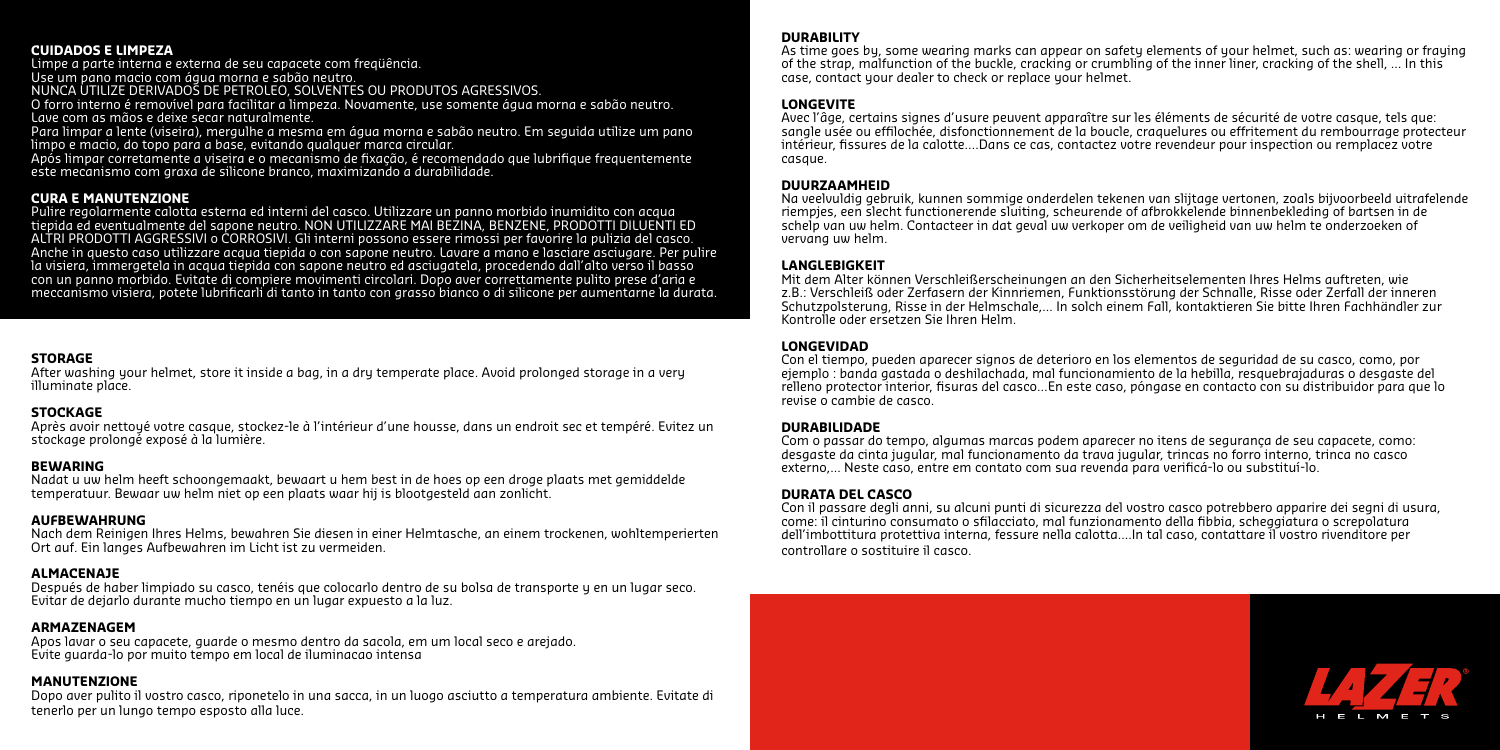#### **CUIDADOS E LIMPEZA**

Limpe a parte interna e externa de seu capacete com freqüência.

Use um pano macio com água morna e sabão neutro.

NUNCA UTILIZE DERIVADOS DE PETROLEO, SOLVENTES OU PRODUTOS AGRESSIVOS.

O forro interno é removível para facilitar a limpeza. Novamente, use somente água morna e sabão neutro. Lave com as mãos e deixe secar naturalmente.

Para limpar a lente (viseira), mergulhe a mesma em água morna e sabão neutro. Em seguida utilize um pano limpo e macio, do topo para a base, evitando qualquer marca circular.

Após limpar corretamente a viseira e o mecanismo de fixação, é recomendado que lubrifique frequentemente este mecanismo com graxa de silicone branco, maximizando a durabilidade.

#### **CURA E MANUTENZIONE**

Pulire regolarmente calotta esterna ed interni del casco. Utilizzare un panno morbido inumidito con acqua tiepida ed eventualmente del sapone neutro. NON UTILIZZARE MAI BEZINA, BENZENE, PRODOTTI DILUENTI ED ALTRI PRODOTTI AGGRESSIVI o CORROSIVI. Gli interni possono essere rimossi per favorire la pulizia del casco. Anche in questo caso utilizzare acqua tiepida o con sapone neutro. Lavare a mano e lasciare asciugare. Per pulire la visiera, immergetela in acqua tiepida con sapone neutro ed asciugatela, procedendo dall'alto verso il basso con un panno morbido. Evitate di compiere movimenti circolari. Dopo aver correttamente pulito prese d'aria e meccanismo visiera, potete lubrificarli di tanto in tanto con grasso bianco o di silicone per aumentarne la durata.

#### **STORAGE**

After washing your helmet, store it inside a bag, in a dry temperate place. Avoid prolonged storage in a very illuminate place.

#### **STOCKAGE**

Après avoir nettoyé votre casque, stockez-le à l'intérieur d'une housse, dans un endroit sec et tempéré. Evitez un stockage prolongé exposé à la lumière.

#### **BEWARING**

Nadat u uw helm heeft schoongemaakt, bewaart u hem best in de hoes op een droge plaats met gemiddelde temperatuur. Bewaar uw helm niet op een plaats waar hij is blootgesteld aan zonlicht.

#### **AUFBEWAHRUNG**

Nach dem Reinigen Ihres Helms, bewahren Sie diesen in einer Helmtasche, an einem trockenen, wohltemperierten Ort auf. Ein langes Aufbewahren im Licht ist zu vermeiden.

#### **ALMACENAJE**

Después de haber limpiado su casco, tenéis que colocarlo dentro de su bolsa de transporte y en un lugar seco. Evitar de dejarlo durante mucho tiempo en un lugar expuesto a la luz.

#### **ARMAZENAGEM**

Apos lavar o seu capacete, guarde o mesmo dentro da sacola, em um local seco e arejado. Evite guarda-lo por muito tempo em local de iluminacao intensa

#### **MANUTENZIONE**

Dopo aver pulito il vostro casco, riponetelo in una sacca, in un luogo asciutto a temperatura ambiente. Evitate di tenerlo per un lungo tempo esposto alla luce.

#### **DURABILITY**

As time goes by, some wearing marks can appear on safety elements of your helmet, such as: wearing or fraying of the strap, malfunction of the buckle, cracking or crumbling of the inner liner, cracking of the shell, … In this case, contact your dealer to check or replace your helmet.

#### **LONGEVITE**

Avec l'âge, certains signes d'usure peuvent apparaître sur les éléments de sécurité de votre casque, tels que: sangle usée ou effilochée, disfonctionnement de la boucle, craquelures ou effritement du rembourrage protecteur intérieur, fissures de la calotte….Dans ce cas, contactez votre revendeur pour inspection ou remplacez votre casque.

#### **DUURZAAMHEID**

Na veelvuldig gebruik, kunnen sommige onderdelen tekenen van slijtage vertonen, zoals bijvoorbeeld uitrafelende riempjes, een slecht functionerende sluiting, scheurende of afbrokkelende binnenbekleding of bartsen in de schelp van uw helm. Contacteer in dat geval uw verkoper om de veiligheid van uw helm te onderzoeken of vervang uw helm.

#### **LANGLEBIGKEIT**

Mit dem Alter können Verschleißerscheinungen an den Sicherheitselementen Ihres Helms auftreten, wie z.B.: Verschleiß oder Zerfasern der Kinnriemen, Funktionsstörung der Schnalle, Risse oder Zerfall der inneren Schutzpolsterung, Risse in der Helmschale,... In solch einem Fall, kontaktieren Sie bitte Ihren Fachhändler zur Kontrolle oder ersetzen Sie Ihren Helm.

#### **LONGEVIDAD**

Con el tiempo, pueden aparecer signos de deterioro en los elementos de seguridad de su casco, como, por ejemplo : banda gastada o deshilachada, mal funcionamiento de la hebilla, resquebrajaduras o desgaste del relleno protector interior, fisuras del casco…En este caso, póngase en contacto con su distribuidor para que lo revise o cambie de casco.

#### **DURABILIDADE**

Com o passar do tempo, algumas marcas podem aparecer no itens de segurança de seu capacete, como: desgaste da cinta jugular, mal funcionamento da trava jugular, trincas no forro interno, trinca no casco externo,... Neste caso, entre em contato com sua revenda para verificá-lo ou substituí-lo.

#### **DURATA DEL CASCO**

Con il passare degli anni, su alcuni punti di sicurezza del vostro casco potrebbero apparire dei segni di usura, come: il cinturino consumato o sfilacciato, mal funzionamento della fibbia, scheggiatura o screpolatura dell'imbottitura protettiva interna, fessure nella calotta....In tal caso, contattare il vostro rivenditore per controllare o sostituire il casco.

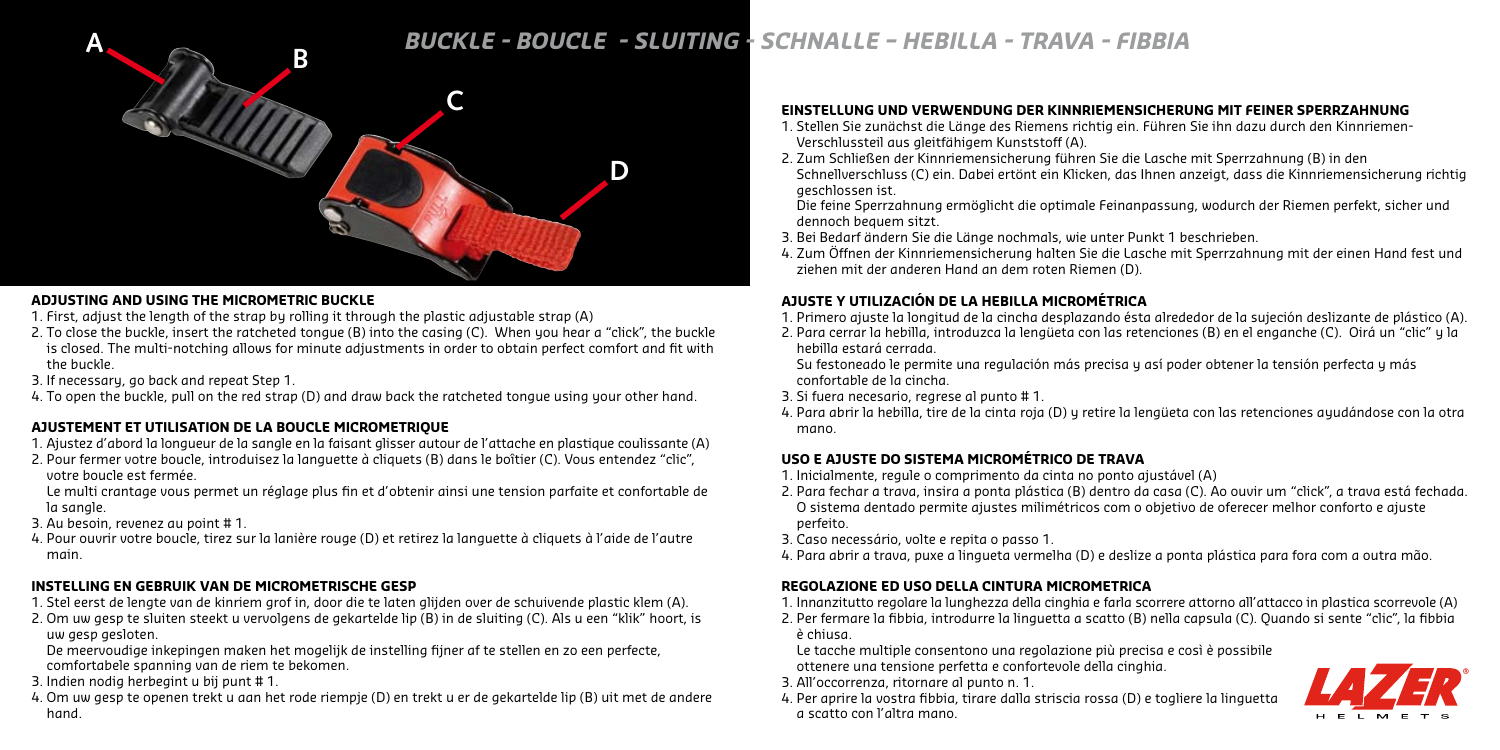# **<sup>A</sup>** *BUCKLE - BOUCLE - SLUITING - SCHNALLE – HEBILLA - TRAVA - FIBBIA* **<sup>B</sup>**



### **ADJUSTING AND USING THE MICROMETRIC BUCKLE**

- 1. First, adjust the length of the strap by rolling it through the plastic adjustable strap (A)
- 2. To close the buckle, insert the ratcheted tongue (B) into the casing (C). When you hear a "click", the buckle is closed. The multi-notching allows for minute adjustments in order to obtain perfect comfort and fit with the buckle.
- 3. If necessary, go back and repeat Step 1.
- 4. To open the buckle, pull on the red strap (D) and draw back the ratcheted tongue using your other hand.

# **AJUSTEMENT ET UTILISATION DE LA BOUCLE MICROMETRIQUE**

- 1. Ajustez d'abord la longueur de la sangle en la faisant glisser autour de l'attache en plastique coulissante (A)
- 2. Pour fermer votre boucle, introduisez la languette à cliquets (B) dans le boîtier (C). Vous entendez "clic", votre boucle est fermée.

Le multi crantage vous permet un réglage plus fin et d'obtenir ainsi une tension parfaite et confortable de la sangle.

- 3. Au besoin, revenez au point # 1.
- 4. Pour ouvrir votre boucle, tirez sur la lanière rouge (D) et retirez la languette à cliquets à l'aide de l'autre main.

# **INSTELLING EN GEBRUIK VAN DE MICROMETRISCHE GESP**

- 1. Stel eerst de lengte van de kinriem grof in, door die te laten glijden over de schuivende plastic klem (A).
- 2. Om uw gesp te sluiten steekt u vervolgens de gekartelde lip (B) in de sluiting (C). Als u een "klik" hoort, is uw gesp gesloten.

De meervoudige inkepingen maken het mogelijk de instelling fijner af te stellen en zo een perfecte, comfortabele spanning van de riem te bekomen.

- 3. Indien nodig herbegint u bij punt # 1.
- 4. Om uw gesp te openen trekt u aan het rode riempje (D) en trekt u er de gekartelde lip (B) uit met de andere hand.

# **EINSTELLUNG UND VERWENDUNG DER Kinnriemensicherung MIT FEINER SPERRZAHNUNG**

- 1. Stellen Sie zunächst die Länge des Riemens richtig ein. Führen Sie ihn dazu durch den Kinnriemen-Verschlussteil aus gleitfähigem Kunststoff (A).
- 2. Zum Schließen der Kinnriemensicherung führen Sie die Lasche mit Sperrzahnung (B) in den Schnellverschluss (C) ein. Dabei ertönt ein Klicken, das Ihnen anzeigt, dass die Kinnriemensicherung richtig geschlossen ist.

Die feine Sperrzahnung ermöglicht die optimale Feinanpassung, wodurch der Riemen perfekt, sicher und dennoch bequem sitzt.

- 3. Bei Bedarf ändern Sie die Länge nochmals, wie unter Punkt 1 beschrieben.
- 4. Zum Öffnen der Kinnriemensicherung halten Sie die Lasche mit Sperrzahnung mit der einen Hand fest und ziehen mit der anderen Hand an dem roten Riemen (D).

# **AJUSTE Y UTILIZACIÓN DE LA HEBILLA MICROMÉTRICA**

- 1. Primero ajuste la longitud de la cincha desplazando ésta alrededor de la sujeción deslizante de plástico (A).
- 2. Para cerrar la hebilla, introduzca la lengüeta con las retenciones (B) en el enganche (C). Oirá un "clic" y la hebilla estará cerrada.

Su festoneado le permite una regulación más precisa y así poder obtener la tensión perfecta y más confortable de la cincha.

- 3. Si fuera necesario, regrese al punto # 1.
- 4. Para abrir la hebilla, tire de la cinta roja (D) y retire la lengüeta con las retenciones ayudándose con la otra mano.

# **USO E AJUSTE DO SISTEMA MICROMÉTRICO DE TRAVA**

- 1. Inicialmente, regule o comprimento da cinta no ponto ajustável (A)
- 2. Para fechar a trava, insira a ponta plástica (B) dentro da casa (C). Ao ouvir um "click", a trava está fechada. O sistema dentado permite ajustes milimétricos com o objetivo de oferecer melhor conforto e ajuste perfeito.
- 3. Caso necessário, volte e repita o passo 1.
- 4. Para abrir a trava, puxe a lingueta vermelha (D) e deslize a ponta plástica para fora com a outra mão.

# **REGOLAZIONE ED USO DELLA CINTURA MICROMETRICA**

- 1. Innanzitutto regolare la lunghezza della cinghia e farla scorrere attorno all'attacco in plastica scorrevole (A)
- 2. Per fermare la fibbia, introdurre la linguetta a scatto (B) nella capsula (C). Quando si sente "clic", la fibbia è chiusa.

Le tacche multiple consentono una regolazione più precisa e così è possibile ottenere una tensione perfetta e confortevole della cinghia.

- 3. All'occorrenza, ritornare al punto n. 1.
- 4. Per aprire la vostra fibbia, tirare dalla striscia rossa (D) e togliere la linguetta a scatto con l'altra mano.

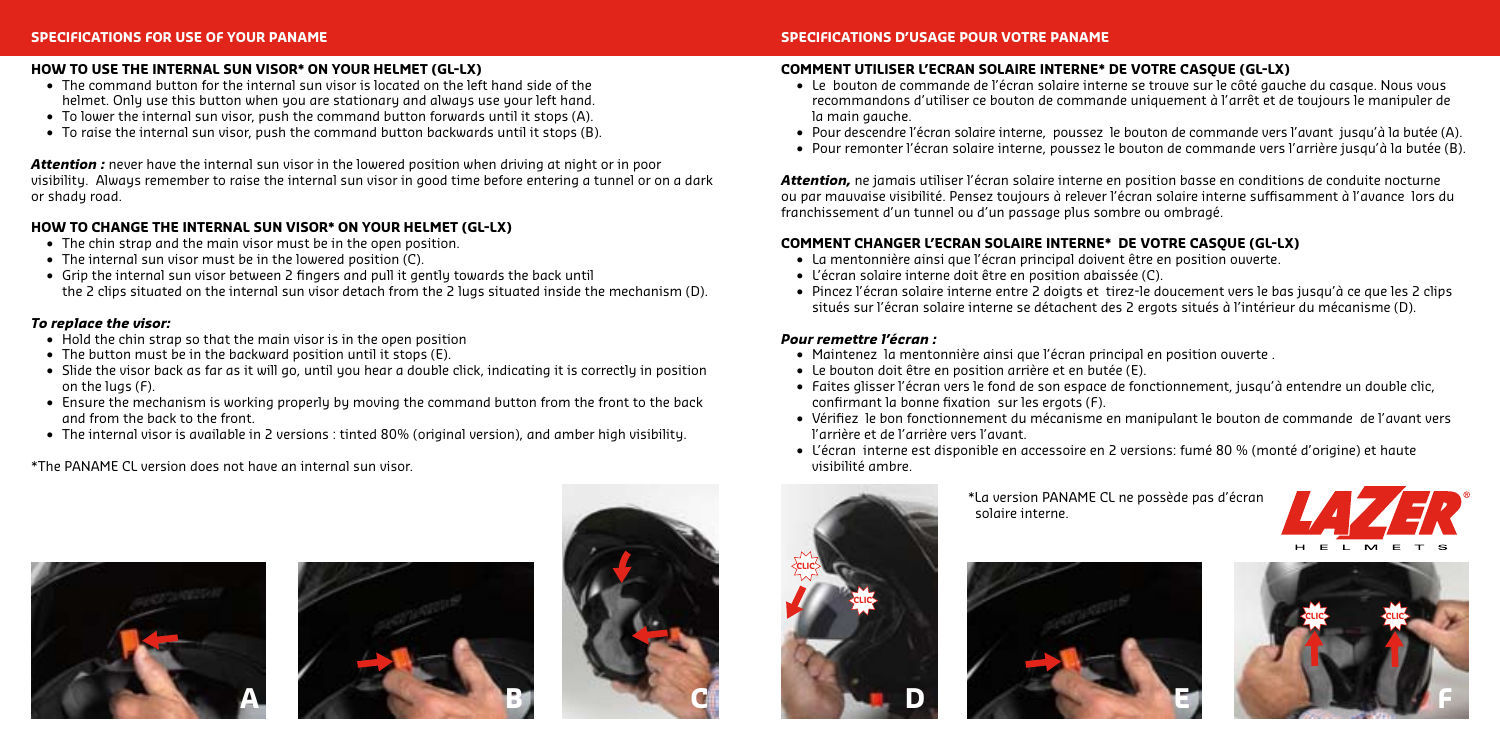### **HOW TO USE THE INTERNAL SUN VISOR\* ON YOUR HELMET (GL-LX)**

- **•** The command button for the internal sun visor is located on the left hand side of the helmet. Only use this button when you are stationary and always use your left hand.
- **•**  To lower the internal sun visor, push the command button forwards until it stops (A).
- **•**  To raise the internal sun visor, push the command button backwards until it stops (B).

*Attention :* never have the internal sun visor in the lowered position when driving at night or in poor visibility. Always remember to raise the internal sun visor in good time before entering a tunnel or on a dark or shady road.

### **HOW TO CHANGE THE INTERNAL SUN VISOR\* ON YOUR HELMET (GL-LX)**

- The chin strap and the main visor must be in the open position.
- **•** The internal sun visor must be in the lowered position (C).
- **•**  Grip the internal sun visor between 2 fingers and pull it gently towards the back until the 2 clips situated on the internal sun visor detach from the 2 lugs situated inside the mechanism (D).

#### *To replace the visor:*

- Hold the chin strap so that the main visor is in the open position
- The button must be in the backward position until it stops (E).
- Slide the visor back as far as it will go, until you hear a double click, indicating it is correctly in position on the lugs (F).
- Ensure the mechanism is working properly by moving the command button from the front to the back and from the back to the front.
- **•**  The internal visor is available in 2 versions : tinted 80% (original version), and amber high visibility.

\*The PANAME CL version does not have an internal sun visor.







#### **SPECIFICATIONS D'USAGE POUR VOTRE PANAME**

#### **COMMENT UTILISER L'ECRAN SOLAIRE INTERNE\* DE VOTRE CASQUE (GL-LX)**

- **•**  Le bouton de commande de l'écran solaire interne se trouve sur le côté gauche du casque. Nous vous recommandons d'utiliser ce bouton de commande uniquement à l'arrêt et de toujours le manipuler de la main gauche.
- **•**  Pour descendre l'écran solaire interne, poussez le bouton de commande vers l'avant jusqu'à la butée (A).
- **•**  Pour remonter l'écran solaire interne, poussez le bouton de commande vers l'arrière jusqu'à la butée (B).

*Attention,* ne jamais utiliser l'écran solaire interne en position basse en conditions de conduite nocturne ou par mauvaise visibilité. Pensez toujours à relever l'écran solaire interne suffisamment à l'avance lors du franchissement d'un tunnel ou d'un passage plus sombre ou ombragé.

### **COMMENT CHANGER L'ECRAN SOLAIRE INTERNE\* DE VOTRE CASQUE (GL-LX)**

- **•**  La mentonnière ainsi que l'écran principal doivent être en position ouverte.
- **•**  L'écran solaire interne doit être en position abaissée (C).
- **•**  Pincez l'écran solaire interne entre 2 doigts et tirez-le doucement vers le bas jusqu'à ce que les 2 clips situés sur l'écran solaire interne se détachent des 2 ergots situés à l'intérieur du mécanisme (D).

#### *Pour remettre l'écran :*

- **•**  Maintenez la mentonnière ainsi que l'écran principal en position ouverte .
- **•**  Le bouton doit être en position arrière et en butée (E).
- **•**  Faites glisser l'écran vers le fond de son espace de fonctionnement, jusqu'à entendre un double clic, confirmant la bonne fixation sur les ergots (F).
- **•**  Vérifiez le bon fonctionnement du mécanisme en manipulant le bouton de commande de l'avant vers l'arrière et de l'arrière vers l'avant.
- **•**  L'écran interne est disponible en accessoire en 2 versions: fumé 80 % (monté d'origine) et haute visibilité ambre.



 \*La version PANAME CL ne possède pas d'écran solaire interne.





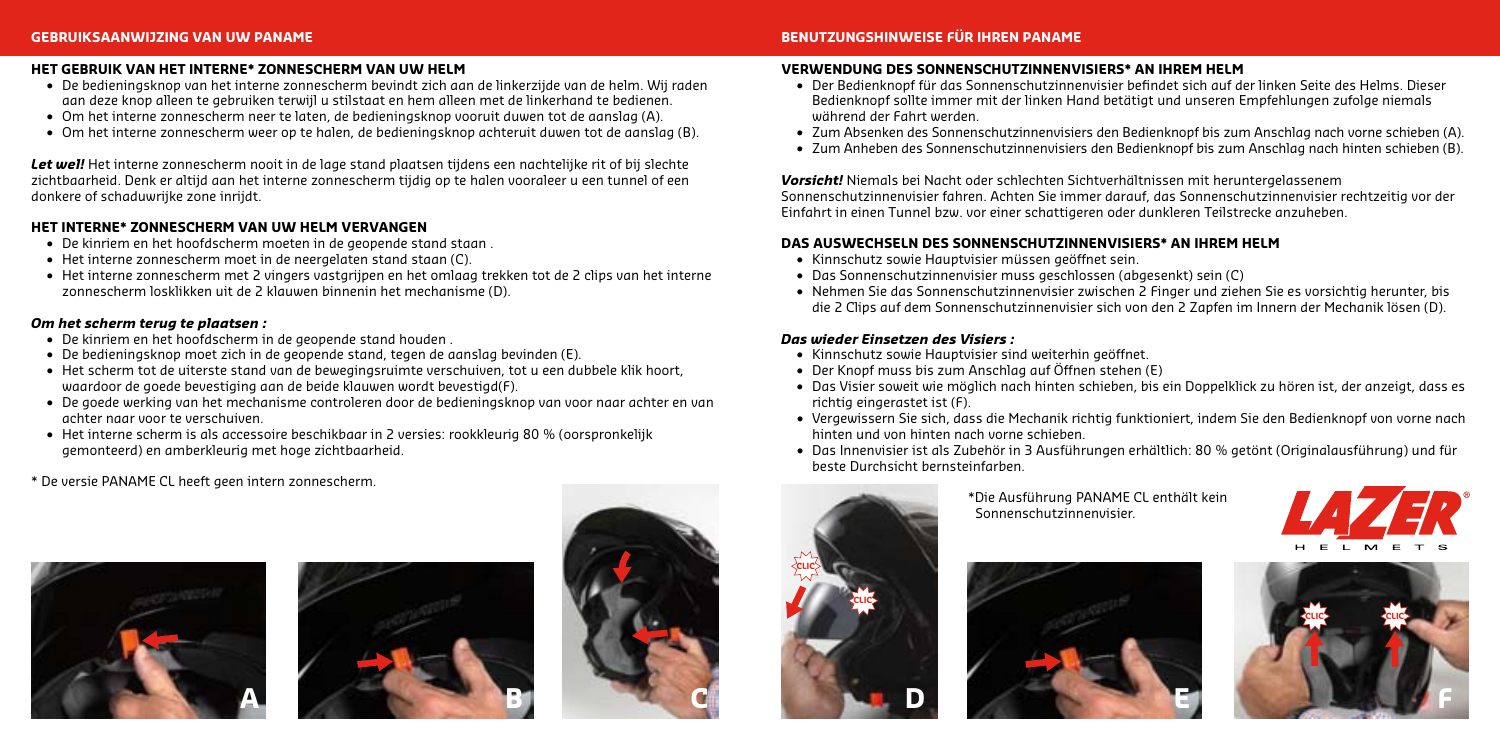#### **HET GEBRUIK VAN HET INTERNE\* ZONNESCHERM VAN UW HELM**

- • De bedieningsknop van het interne zonnescherm bevindt zich aan de linkerzijde van de helm. Wij raden aan deze knop alleen te gebruiken terwijl u stilstaat en hem alleen met de linkerhand te bedienen.
- • Om het interne zonnescherm neer te laten, de bedieningsknop vooruit duwen tot de aanslag (A).
- • Om het interne zonnescherm weer op te halen, de bedieningsknop achteruit duwen tot de aanslag (B).

*Let wel!* Het interne zonnescherm nooit in de lage stand plaatsen tijdens een nachtelijke rit of bij slechte zichtbaarheid. Denk er altijd aan het interne zonnescherm tijdig op te halen vooraleer u een tunnel of een donkere of schaduwrijke zone inrijdt.

#### **HET INTERNE\* ZONNESCHERM VAN UW HELM VERVANGEN**

- • De kinriem en het hoofdscherm moeten in de geopende stand staan .
- Het interne zonnescherm moet in de neergelaten stand staan (C).
- • Het interne zonnescherm met 2 vingers vastgrijpen en het omlaag trekken tot de 2 clips van het interne zonnescherm losklikken uit de 2 klauwen binnenin het mechanisme (D).

#### *Om het scherm terug te plaatsen :*

- De kinriem en het hoofdscherm in de geopende stand houden
- • De bedieningsknop moet zich in de geopende stand, tegen de aanslag bevinden (E).
- • Het scherm tot de uiterste stand van de bewegingsruimte verschuiven, tot u een dubbele klik hoort, waardoor de goede bevestiging aan de beide klauwen wordt bevestigd(F).
- • De goede werking van het mechanisme controleren door de bedieningsknop van voor naar achter en van achter naar voor te verschuiven.
- • Het interne scherm is als accessoire beschikbaar in 2 versies: rookkleurig 80 % (oorspronkelijk gemonteerd) en amberkleurig met hoge zichtbaarheid.

\* De versie PANAME CL heeft geen intern zonnescherm.







### **BENUTZUNGSHINWEISE FÜR IHREN PANAME**

#### **VERWENDUNG DES SONNENSCHUTZINNENVISIERS\* AN IHREM HELM**

- • Der Bedienknopf für das Sonnenschutzinnenvisier befindet sich auf der linken Seite des Helms. Dieser Bedienknopf sollte immer mit der linken Hand betätigt und unseren Empfehlungen zufolge niemals während der Fahrt werden.
- • Zum Absenken des Sonnenschutzinnenvisiers den Bedienknopf bis zum Anschlag nach vorne schieben (A).
- • Zum Anheben des Sonnenschutzinnenvisiers den Bedienknopf bis zum Anschlag nach hinten schieben (B).

*Vorsicht!* Niemals bei Nacht oder schlechten Sichtverhältnissen mit heruntergelassenem

Sonnenschutzinnenvisier fahren. Achten Sie immer darauf, das Sonnenschutzinnenvisier rechtzeitig vor der Einfahrt in einen Tunnel bzw. vor einer schattigeren oder dunkleren Teilstrecke anzuheben.

### **DAS AUSWECHSELN DES SONNENSCHUTZINNENVISIERS\* AN IHREM HELM**

- • Kinnschutz sowie Hauptvisier müssen geöffnet sein.
- • Das Sonnenschutzinnenvisier muss geschlossen (abgesenkt) sein (C)
- • Nehmen Sie das Sonnenschutzinnenvisier zwischen 2 Finger und ziehen Sie es vorsichtig herunter, bis die 2 Clips auf dem Sonnenschutzinnenvisier sich von den 2 Zapfen im Innern der Mechanik lösen (D).

#### *Das wieder Einsetzen des Visiers :*

- • Kinnschutz sowie Hauptvisier sind weiterhin geöffnet.
- • Der Knopf muss bis zum Anschlag auf Öffnen stehen (E)
- • Das Visier soweit wie möglich nach hinten schieben, bis ein Doppelklick zu hören ist, der anzeigt, dass es richtig eingerastet ist (F).
- • Vergewissern Sie sich, dass die Mechanik richtig funktioniert, indem Sie den Bedienknopf von vorne nach hinten und von hinten nach vorne schieben.
- • Das Innenvisier ist als Zubehör in 3 Ausführungen erhältlich: 80 % getönt (Originalausführung) und für beste Durchsicht bernsteinfarben.



 \*Die Ausführung PANAME CL enthält kein Sonnenschutzinnenvisier.





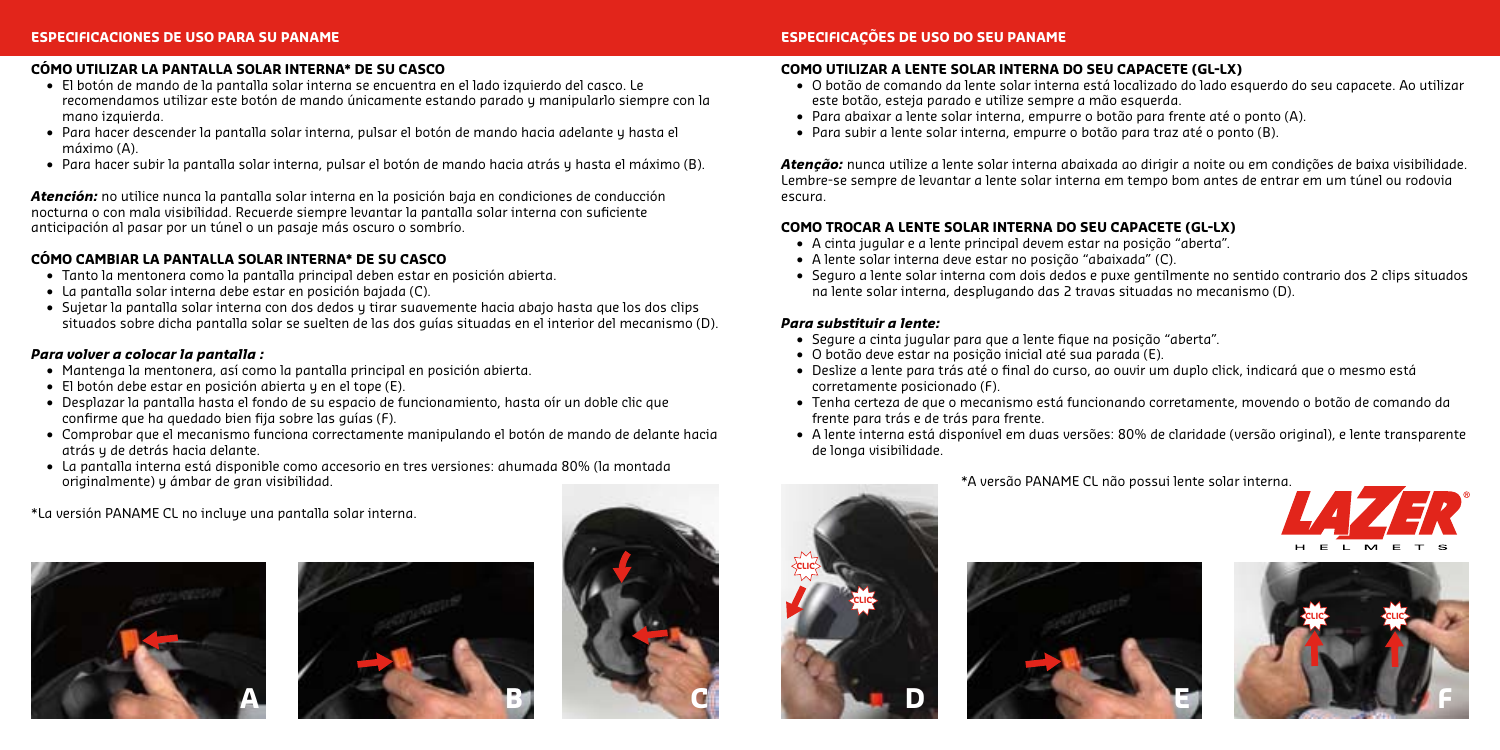#### **CÓMO UTILIZAR LA PANTALLA SOLAR INTERNA\* DE SU CASCO**

- • El botón de mando de la pantalla solar interna se encuentra en el lado izquierdo del casco. Le recomendamos utilizar este botón de mando únicamente estando parado y manipularlo siempre con la mano izquierda.
- • Para hacer descender la pantalla solar interna, pulsar el botón de mando hacia adelante y hasta el máximo (A).
- • Para hacer subir la pantalla solar interna, pulsar el botón de mando hacia atrás y hasta el máximo (B).

*Atención:* no utilice nunca la pantalla solar interna en la posición baja en condiciones de conducción nocturna o con mala visibilidad. Recuerde siempre levantar la pantalla solar interna con suficiente anticipación al pasar por un túnel o un pasaje más oscuro o sombrío.

#### **CÓMO CAMBIAR LA PANTALLA SOLAR INTERNA\* DE SU CASCO**

- • Tanto la mentonera como la pantalla principal deben estar en posición abierta.
- • La pantalla solar interna debe estar en posición bajada (C).
- • Sujetar la pantalla solar interna con dos dedos y tirar suavemente hacia abajo hasta que los dos clips situados sobre dicha pantalla solar se suelten de las dos guías situadas en el interior del mecanismo (D).

#### *Para volver a colocar la pantalla :*

- • Mantenga la mentonera, así como la pantalla principal en posición abierta.
- • El botón debe estar en posición abierta y en el tope (E).
- • Desplazar la pantalla hasta el fondo de su espacio de funcionamiento, hasta oír un doble clic que confirme que ha quedado bien fija sobre las guías (F).
- • Comprobar que el mecanismo funciona correctamente manipulando el botón de mando de delante hacia atrás y de detrás hacia delante.
- • La pantalla interna está disponible como accesorio en tres versiones: ahumada 80% (la montada originalmente) y ámbar de gran visibilidad.

\*La versión PANAME CL no incluye una pantalla solar interna.







### **ESPECIFICAÇÕES DE USO DO SEU PANAME**

#### **COMO UTILIZAR A LENTE SOLAR INTERNA DO SEU CAPACETE (GL-LX)**

- • O botão de comando da lente solar interna está localizado do lado esquerdo do seu capacete. Ao utilizar este botão, esteja parado e utilize sempre a mão esquerda.
- • Para abaixar a lente solar interna, empurre o botão para frente até o ponto (A).
- • Para subir a lente solar interna, empurre o botão para traz até o ponto (B).

*Atenção:* nunca utilize a lente solar interna abaixada ao dirigir a noite ou em condições de baixa visibilidade. Lembre-se sempre de levantar a lente solar interna em tempo bom antes de entrar em um túnel ou rodovia escura.

#### **COMO TROCAR A LENTE SOLAR INTERNA DO SEU CAPACETE (GL-LX)**

- • A cinta jugular e a lente principal devem estar na posição "aberta".
- • A lente solar interna deve estar no posição "abaixada" (C).
- • Seguro a lente solar interna com dois dedos e puxe gentilmente no sentido contrario dos 2 clips situados na lente solar interna, desplugando das 2 travas situadas no mecanismo (D).

#### *Para substituir a lente:*

- • Segure a cinta jugular para que a lente fique na posição "aberta".
- • O botão deve estar na posição inicial até sua parada (E).
- • Deslize a lente para trás até o final do curso, ao ouvir um duplo click, indicará que o mesmo está corretamente posicionado (F).
- • Tenha certeza de que o mecanismo está funcionando corretamente, movendo o botão de comando da frente para trás e de trás para frente.
- • A lente interna está disponível em duas versões: 80% de claridade (versão original), e lente transparente de longa visibilidade.







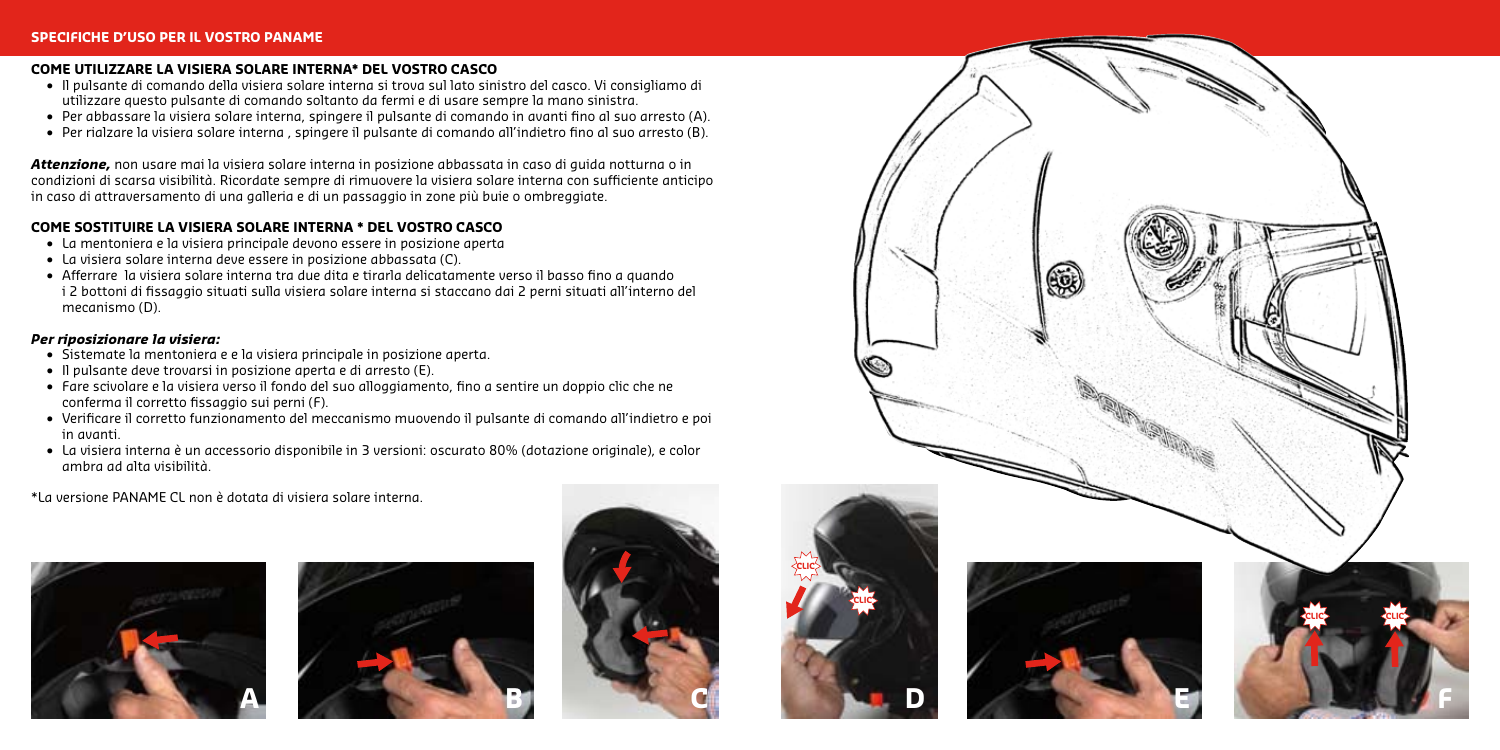#### **COME UTILIZZARE LA VISIERA SOLARE INTERNA\* DEL VOSTRO CASCO**

- • Il pulsante di comando della visiera solare interna si trova sul lato sinistro del casco. Vi consigliamo di utilizzare questo pulsante di comando soltanto da fermi e di usare sempre la mano sinistra.
- • Per abbassare la visiera solare interna, spingere il pulsante di comando in avanti fino al suo arresto (A).
- • Per rialzare la visiera solare interna , spingere il pulsante di comando all'indietro fino al suo arresto (B).

*Attenzione,* non usare mai la visiera solare interna in posizione abbassata in caso di guida notturna o in condizioni di scarsa visibilità. Ricordate sempre di rimuovere la visiera solare interna con sufficiente anticipo in caso di attraversamento di una galleria e di un passaggio in zone più buie o ombreggiate.

#### **COME SOSTITUIRE LA VISIERA SOLARE INTERNA \* DEL VOSTRO CASCO**

- • La mentoniera e la visiera principale devono essere in posizione aperta
- • La visiera solare interna deve essere in posizione abbassata (C).
- • Afferrare la visiera solare interna tra due dita e tirarla delicatamente verso il basso fino a quando i 2 bottoni di fissaggio situati sulla visiera solare interna si staccano dai 2 perni situati all'interno del mecanismo (D).

#### *Per riposizionare la visiera:*

- • Sistemate la mentoniera e e la visiera principale in posizione aperta.
- • Il pulsante deve trovarsi in posizione aperta e di arresto (E).
- • Fare scivolare e la visiera verso il fondo del suo alloggiamento, fino a sentire un doppio clic che ne conferma il corretto fissaggio sui perni (F).
- • Verificare il corretto funzionamento del meccanismo muovendo il pulsante di comando all'indietro e poi in avanti.
- • La visiera interna è un accessorio disponibile in 3 versioni: oscurato 80% (dotazione originale), e color ambra ad alta visibilità.

\*La versione PANAME CL non è dotata di visiera solare interna.











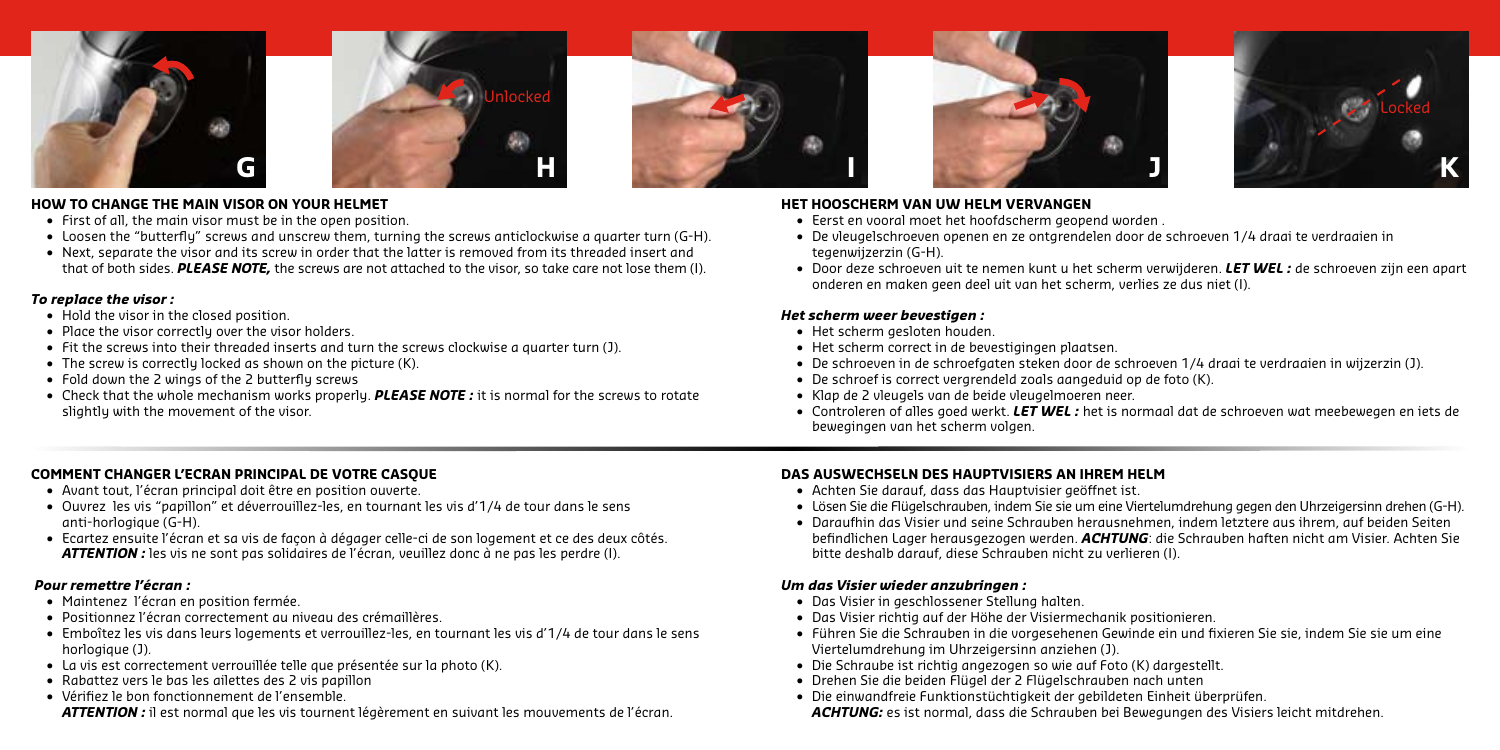



#### **HOW TO CHANGE THE MAIN VISOR ON YOUR HELMET**

- **•**  First of all, the main visor must be in the open position.
- **•**  Loosen the "butterfly" screws and unscrew them, turning the screws anticlockwise a quarter turn (G-H).
- **•**  Next, separate the visor and its screw in order that the latter is removed from its threaded insert and that of both sides. *PLEASE NOTE,* the screws are not attached to the visor, so take care not lose them (I).

#### *To replace the visor :*

- **•**  Hold the visor in the closed position.
- Place the visor correctly over the visor holders.
- **•**  Fit the screws into their threaded inserts and turn the screws clockwise a quarter turn (J).
- The screw is correctly locked as shown on the picture (K).
- **•**  Fold down the 2 wings of the 2 butterfly screws
- **•** Check that the whole mechanism works properly. **PLEASE NOTE**: it is normal for the screws to rotate slightly with the movement of the visor.







#### **HET HOOSCHERM VAN UW HELM VERVANGEN**

- **•**  Eerst en vooral moet het hoofdscherm geopend worden .
- **•**  De vleugelschroeven openen en ze ontgrendelen door de schroeven 1/4 draai te verdraaien in tegenwijzerzin (G-H).
- **•**  Door deze schroeven uit te nemen kunt u het scherm verwijderen. *LET WEL :* de schroeven zijn een apart onderen en maken geen deel uit van het scherm, verlies ze dus niet (I).

### *Het scherm weer bevestigen :*

- **•**  Het scherm gesloten houden.
- **•** Het scherm correct in de bevestigingen plaatsen
- **•**  De schroeven in de schroefgaten steken door de schroeven 1/4 draai te verdraaien in wijzerzin (J).
- **•**  De schroef is correct vergrendeld zoals aangeduid op de foto (K).
- **•**  Klap de 2 vleugels van de beide vleugelmoeren neer.
- **•**  Controleren of alles goed werkt. *LET WEL :* het is normaal dat de schroeven wat meebewegen en iets de bewegingen van het scherm volgen.

### **COMMENT CHANGER L'ECRAN PRINCIPAL DE VOTRE CASQUE**

- **•**  Avant tout, l'écran principal doit être en position ouverte.
- **•**  Ouvrez les vis "papillon" et déverrouillez-les, en tournant les vis d'1/4 de tour dans le sens anti-horlogique (G-H).
- **•**  Ecartez ensuite l'écran et sa vis de façon à dégager celle-ci de son logement et ce des deux côtés. *ATTENTION :* les vis ne sont pas solidaires de l'écran, veuillez donc à ne pas les perdre (I).

### *Pour remettre l'écran :*

- **•**  Maintenez l'écran en position fermée.
- **•**  Positionnez l'écran correctement au niveau des crémaillères.
- **•**  Emboîtez les vis dans leurs logements et verrouillez-les, en tournant les vis d'1/4 de tour dans le sens horlogique (J).
- **•**  La vis est correctement verrouillée telle que présentée sur la photo (K).
- **•**  Rabattez vers le bas les ailettes des 2 vis papillon
- **•**  Vérifiez le bon fonctionnement de l'ensemble.

*ATTENTION :* il est normal que les vis tournent légèrement en suivant les mouvements de l'écran.

### **DAS AUSWECHSELN DES HAUPTVISIERS AN IHREM HELM**

- **•**  Achten Sie darauf, dass das Hauptvisier geöffnet ist.
- **•**  Lösen Sie die Flügelschrauben, indem Sie sie um eine Viertelumdrehung gegen den Uhrzeigersinn drehen (G-H).
- **•**  Daraufhin das Visier und seine Schrauben herausnehmen, indem letztere aus ihrem, auf beiden Seiten befindlichen Lager herausgezogen werden. *ACHTUNG*: die Schrauben haften nicht am Visier. Achten Sie bitte deshalb darauf, diese Schrauben nicht zu verlieren (I).

#### *Um das Visier wieder anzubringen :*

- **•**  Das Visier in geschlossener Stellung halten.
- **•**  Das Visier richtig auf der Höhe der Visiermechanik positionieren.
- **•**  Führen Sie die Schrauben in die vorgesehenen Gewinde ein und fixieren Sie sie, indem Sie sie um eine Viertelumdrehung im Uhrzeigersinn anziehen (J).
- **•**  Die Schraube ist richtig angezogen so wie auf Foto (K) dargestellt.
- **•**  Drehen Sie die beiden Flügel der 2 Flügelschrauben nach unten
- **•**  Die einwandfreie Funktionstüchtigkeit der gebildeten Einheit überprüfen. *ACHTUNG:* es ist normal, dass die Schrauben bei Bewegungen des Visiers leicht mitdrehen.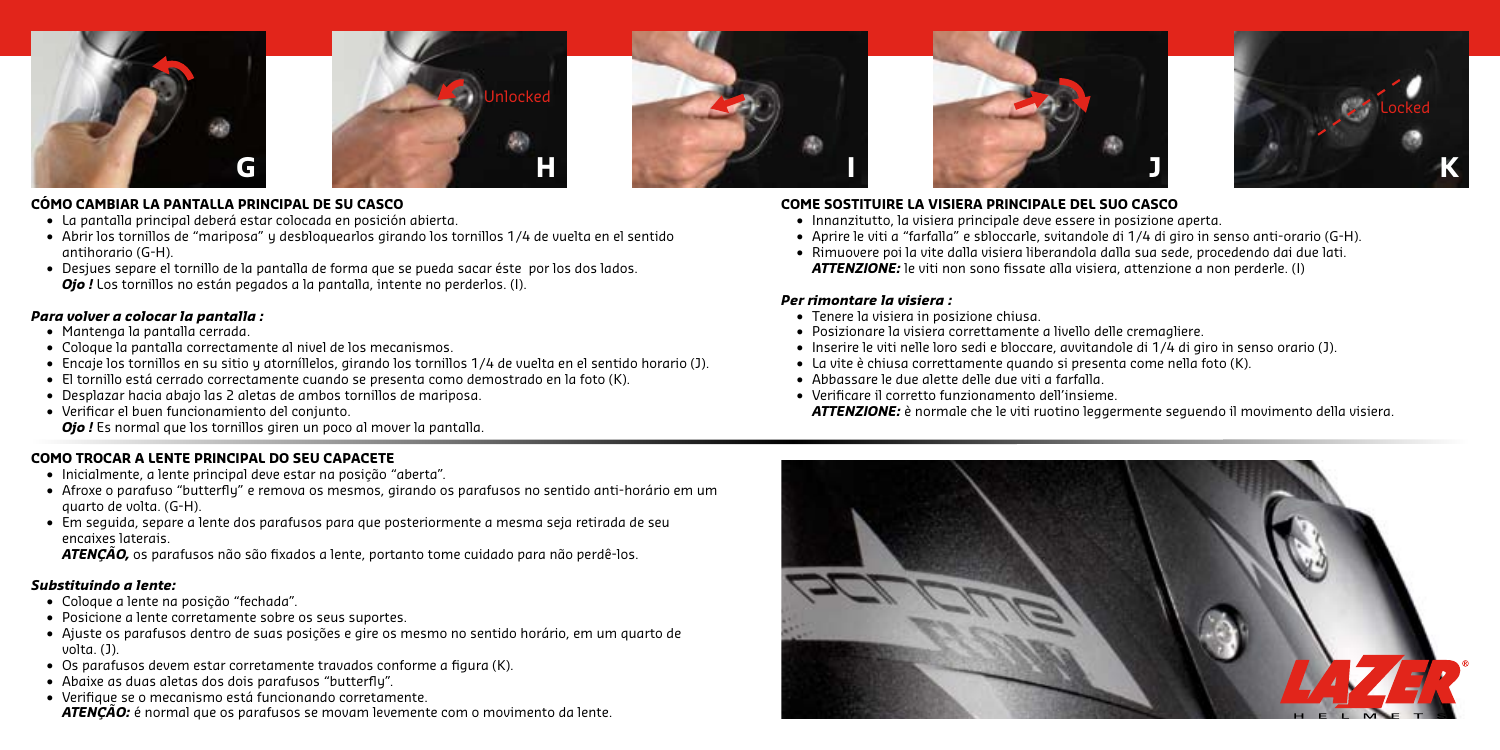



#### **CÓMO CAMBIAR LA PANTALLA PRINCIPAL DE SU CASCO**

- **•**  La pantalla principal deberá estar colocada en posición abierta.
- **•**  Abrir los tornillos de "mariposa" y desbloquearlos girando los tornillos 1/4 de vuelta en el sentido antihorario (G-H).
- **•**  Desjues separe el tornillo de la pantalla de forma que se pueda sacar éste por los dos lados. *Ojo !* Los tornillos no están pegados a la pantalla, intente no perderlos. (I).

#### *Para volver a colocar la pantalla :*

- **•**  Mantenga la pantalla cerrada.
- **•**  Coloque la pantalla correctamente al nivel de los mecanismos.
- **•**  Encaje los tornillos en su sitio y atorníllelos, girando los tornillos 1/4 de vuelta en el sentido horario (J).
- **•**  El tornillo está cerrado correctamente cuando se presenta como demostrado en la foto (K).
- **•**  Desplazar hacia abajo las 2 aletas de ambos tornillos de mariposa.
- **•**  Verificar el buen funcionamiento del conjunto. *Ojo !* Es normal que los tornillos giren un poco al mover la pantalla.

### **COMO TROCAR A LENTE PRINCIPAL DO SEU CAPACETE**

- **•**  Inicialmente, a lente principal deve estar na posição "aberta".
- **•**  Afroxe o parafuso "butterfly" e remova os mesmos, girando os parafusos no sentido anti-horário em um quarto de volta. (G-H).
- **•**  Em seguida, separe a lente dos parafusos para que posteriormente a mesma seja retirada de seu encaixes laterais.
- *ATENÇÃO,* os parafusos não são fixados a lente, portanto tome cuidado para não perdê-los.

### *Substituindo a lente:*

- **•**  Coloque a lente na posição "fechada".
- **•**  Posicione a lente corretamente sobre os seus suportes.
- **•**  Ajuste os parafusos dentro de suas posições e gire os mesmo no sentido horário, em um quarto de volta. (J).
- **•**  Os parafusos devem estar corretamente travados conforme a figura (K).
- **•**  Abaixe as duas aletas dos dois parafusos "butterfly".
- **•**  Verifique se o mecanismo está funcionando corretamente.

*ATENÇÃO:* é normal que os parafusos se movam levemente com o movimento da lente.







### **COME SOSTITUIRE LA VISIERA PRINCIPALE DEL SUO CASCO**

- **•**  Innanzitutto, la visiera principale deve essere in posizione aperta.
- **•**  Aprire le viti a "farfalla" e sbloccarle, svitandole di 1/4 di giro in senso anti-orario (G-H).
- **•**  Rimuovere poi la vite dalla visiera liberandola dalla sua sede, procedendo dai due lati. *ATTENZIONE:* le viti non sono fissate alla visiera, attenzione a non perderle. (I)

### *Per rimontare la visiera :*

- **•**  Tenere la visiera in posizione chiusa.
- **•**  Posizionare la visiera correttamente a livello delle cremagliere.
- **•**  Inserire le viti nelle loro sedi e bloccare, avvitandole di 1/4 di giro in senso orario (J).
- **•**  La vite è chiusa correttamente quando si presenta come nella foto (K).
- **•**  Abbassare le due alette delle due viti a farfalla.
- **•**  Verificare il corretto funzionamento dell'insieme. *ATTENZIONE:* è normale che le viti ruotino leggermente seguendo il movimento della visiera.

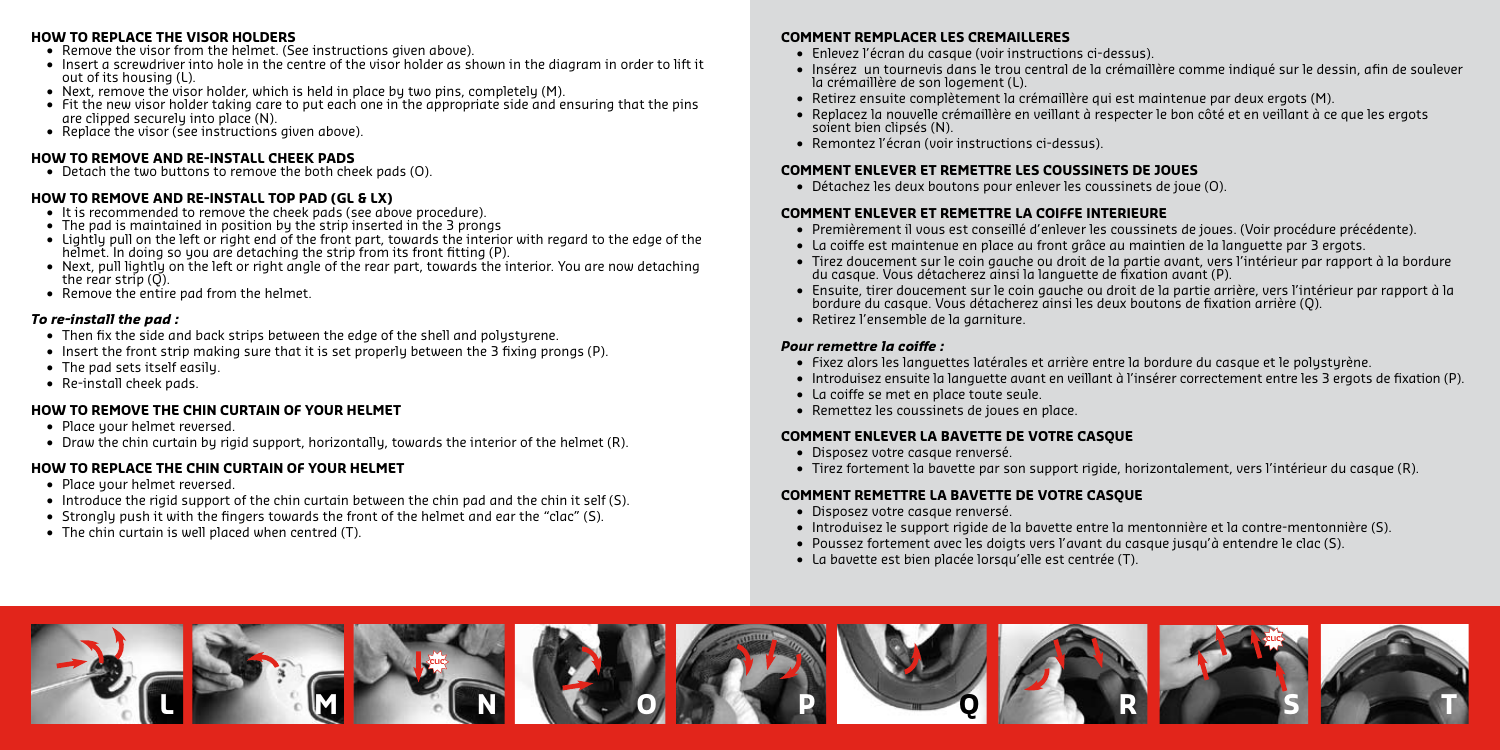#### **HOW TO REPLACE THE VISOR HOLDERS**

- **•** Remove the visor from the helmet. (See instructions given above).
- **•** Insert a screwdriver into hole in the centre of the visor holder as shown in the diagram in order to lift it out of its housing (L).
- Next, remove the visor holder, which is held in place by two pins, completely (M).
- **•**  Fit the new visor holder taking care to put each one in the appropriate side and ensuring that the pins are clipped securely into place (N).
- Replace the visor (see instructions given above).

#### **HOW TO REMOVE AND RE-INSTALL CHEEK PADS**

 **•**  Detach the two buttons to remove the both cheek pads (O).

### **HOW TO REMOVE AND RE-INSTALL TOP PAD (GL & LX)**

- It is recommended to remove the cheek pads (see above procedure).
- **•**  The pad is maintained in position by the strip inserted in the 3 prongs
- **•**  Lightly pull on the left or right end of the front part, towards the interior with regard to the edge of the helmet. In doing so you are detaching the strip from its front fitting (P).
- Next, pull lightly on the left or right angle of the rear part, towards the interior. You are now detaching the rear strip (Q).
- Remove the entire pad from the helmet.

### *To re-install the pad :*

- Then fix the side and back strips between the edge of the shell and polystyrene.
- Insert the front strip making sure that it is set properly between the 3 fixing prongs (P).
- **•**  The pad sets itself easily.
- **•**  Re-install cheek pads.

# **HOW TO REMOVE THE CHIN CURTAIN OF YOUR HELMET**

- Place your helmet reversed.
- **•**  Draw the chin curtain by rigid support, horizontally, towards the interior of the helmet (R).

# **HOW TO REPLACE THE CHIN CURTAIN OF YOUR HELMET**

- Place your helmet reversed.
- Introduce the rigid support of the chin curtain between the chin pad and the chin it self (S).
- Strongly push it with the fingers towards the front of the helmet and ear the "clac" (S).
- **•**  The chin curtain is well placed when centred (T).

### **COMMENT REMPLACER LES CREMAILLERES**

- **•**  Enlevez l'écran du casque (voir instructions ci-dessus).
- **•**  Insérez un tournevis dans le trou central de la crémaillère comme indiqué sur le dessin, afin de soulever la crémaillère de son logement (L).
- **•**  Retirez ensuite complètement la crémaillère qui est maintenue par deux ergots (M).
- **•**  Replacez la nouvelle crémaillère en veillant à respecter le bon côté et en veillant à ce que les ergots soient bien clipsés (N).
- **•**  Remontez l'écran (voir instructions ci-dessus).

### **COMMENT ENLEVER ET REMETTRE LES COUSSINETS DE JOUES**

 **•**  Détachez les deux boutons pour enlever les coussinets de joue (O).

# **COMMENT ENLEVER ET REMETTRE LA COIFFE INTERIEURE**

- **•**  Premièrement il vous est conseillé d'enlever les coussinets de joues. (Voir procédure précédente).
- **•**  La coiffe est maintenue en place au front grâce au maintien de la languette par 3 ergots.
- **•**  Tirez doucement sur le coin gauche ou droit de la partie avant, vers l'intérieur par rapport à la bordure du casque. Vous détacherez ainsi la languette de fixation avant (P).
- **•**  Ensuite, tirer doucement sur le coin gauche ou droit de la partie arrière, vers l'intérieur par rapport à la bordure du casque. Vous détacherez ainsi les deux boutons de fixation arrière (Q).
- **•**  Retirez l'ensemble de la garniture.

### *Pour remettre la coiffe :*

- **•**  Fixez alors les languettes latérales et arrière entre la bordure du casque et le polystyrène.
- **•**  Introduisez ensuite la languette avant en veillant à l'insérer correctement entre les 3 ergots de fixation (P).
- **•**  La coiffe se met en place toute seule.
- **•**  Remettez les coussinets de joues en place.

### **COMMENT ENLEVER LA BAVETTE DE VOTRE CASQUE**

- **•**  Disposez votre casque renversé.
- **•**  Tirez fortement la bavette par son support rigide, horizontalement, vers l'intérieur du casque (R).

### **COMMENT REMETTRE LA BAVETTE DE VOTRE CASQUE**

- **•**  Disposez votre casque renversé.
- **•**  Introduisez le support rigide de la bavette entre la mentonnière et la contre-mentonnière (S).
- **•**  Poussez fortement avec les doigts vers l'avant du casque jusqu'à entendre le clac (S).
- **•**  La bavette est bien placée lorsqu'elle est centrée (T).

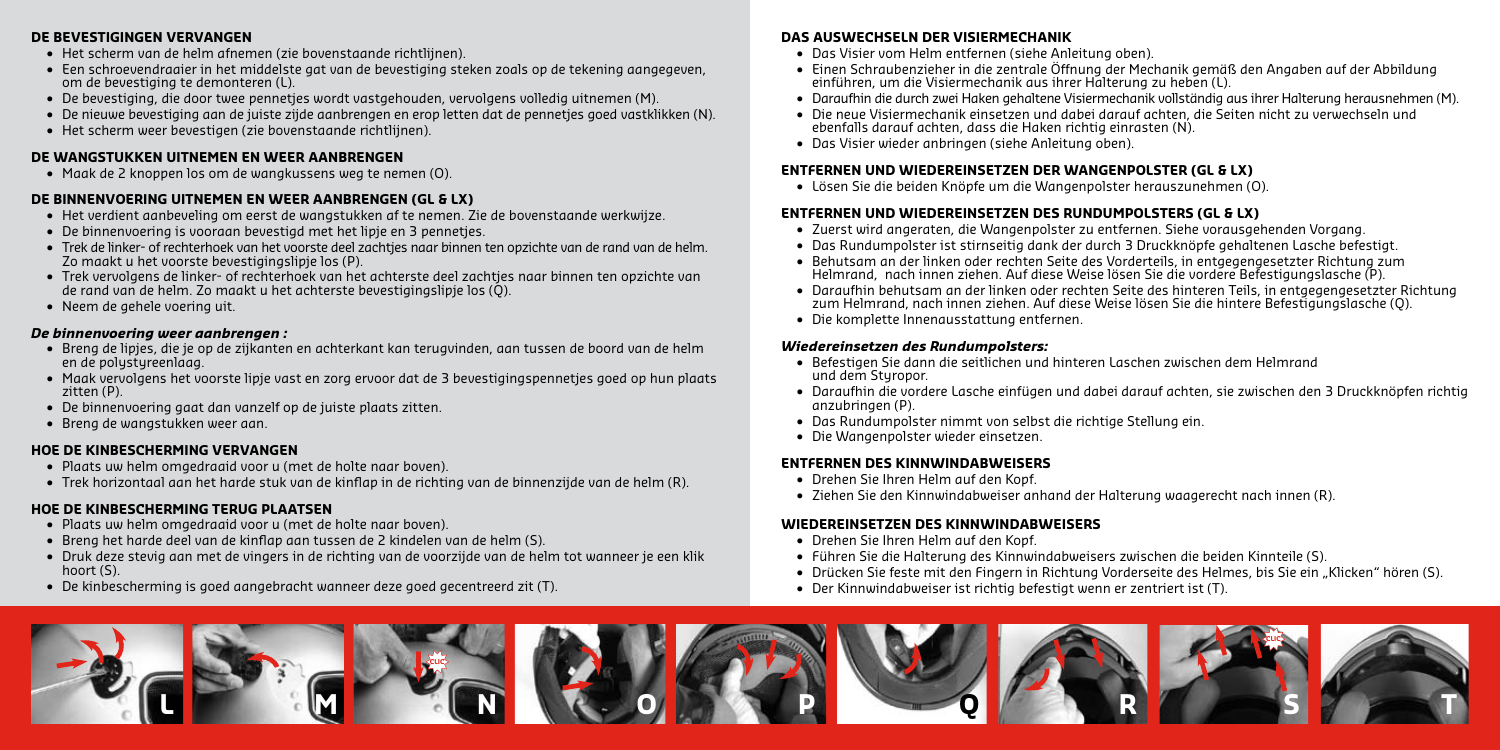#### **DE BEVESTIGINGEN VERVANGEN**

- **•**  Het scherm van de helm afnemen (zie bovenstaande richtlijnen).
- **•**  Een schroevendraaier in het middelste gat van de bevestiging steken zoals op de tekening aangegeven, om de bevestiging te demonteren (L).
- **•**  De bevestiging, die door twee pennetjes wordt vastgehouden, vervolgens volledig uitnemen (M).
- **•**  De nieuwe bevestiging aan de juiste zijde aanbrengen en erop letten dat de pennetjes goed vastklikken (N).
- **•**  Het scherm weer bevestigen (zie bovenstaande richtlijnen).

### **DE WANGSTUKKEN UITNEMEN EN WEER AANBRENGEN**

 **•**  Maak de 2 knoppen los om de wangkussens weg te nemen (O).

### **DE BINNENVOERING UITNEMEN EN WEER AANBRENGEN (GL & LX)**

- **•**  Het verdient aanbeveling om eerst de wangstukken af te nemen. Zie de bovenstaande werkwijze.
- **•**  De binnenvoering is vooraan bevestigd met het lipje en 3 pennetjes.
- **•**  Trek de linker- of rechterhoek van het voorste deel zachtjes naar binnen ten opzichte van de rand van de helm. Zo maakt u het voorste bevestigingslipje los (P).
- **•**  Trek vervolgens de linker- of rechterhoek van het achterste deel zachtjes naar binnen ten opzichte van de rand van de helm. Zo maakt u het achterste bevestigingslipje los (Q).
- **•**  Neem de gehele voering uit.

### *De binnenvoering weer aanbrengen :*

- **•**  Breng de lipjes, die je op de zijkanten en achterkant kan terugvinden, aan tussen de boord van de helm en de polystyreenlaag.
- **•**  Maak vervolgens het voorste lipje vast en zorg ervoor dat de 3 bevestigingspennetjes goed op hun plaats zitten (P).
- **•**  De binnenvoering gaat dan vanzelf op de juiste plaats zitten.
- **•**  Breng de wangstukken weer aan.

### **HOE DE KINBESCHERMING VERVANGEN**

- **•**  Plaats uw helm omgedraaid voor u (met de holte naar boven).
- **•**  Trek horizontaal aan het harde stuk van de kinflap in de richting van de binnenzijde van de helm (R).

### **HOE DE KINBESCHERMING TERUG PLAATSEN**

- **•**  Plaats uw helm omgedraaid voor u (met de holte naar boven).
- **•**  Breng het harde deel van de kinflap aan tussen de 2 kindelen van de helm (S).
- **•**  Druk deze stevig aan met de vingers in de richting van de voorzijde van de helm tot wanneer je een klik hoort (S).
- **•**  De kinbescherming is goed aangebracht wanneer deze goed gecentreerd zit (T).

# **DAS AUSWECHSELN DER VISIERMECHANIK**

- **•**  Das Visier vom Helm entfernen (siehe Anleitung oben).
- **•**  Einen Schraubenzieher in die zentrale Öffnung der Mechanik gemäß den Angaben auf der Abbildung einführen, um die Visiermechanik aus ihrer Halterung zu heben (L).
- **•**  Daraufhin die durch zwei Haken gehaltene Visiermechanik vollständig aus ihrer Halterung herausnehmen (M).
- **•**  Die neue Visiermechanik einsetzen und dabei darauf achten, die Seiten nicht zu verwechseln und ebenfalls darauf achten, dass die Haken richtig einrasten (N).
- **•**  Das Visier wieder anbringen (siehe Anleitung oben).

### **ENTFERNEN UND WIEDEREINSETZEN DER WANGENPOLSTER (GL & LX)**

 **•**  Lösen Sie die beiden Knöpfe um die Wangenpolster herauszunehmen (O).

### **ENTFERNEN UND WIEDEREINSETZEN DES RUNDUMPOLSTERS (GL & LX)**

- **•**  Zuerst wird angeraten, die Wangenpolster zu entfernen. Siehe vorausgehenden Vorgang.
- **•**  Das Rundumpolster ist stirnseitig dank der durch 3 Druckknöpfe gehaltenen Lasche befestigt.
- **•**  Behutsam an der linken oder rechten Seite des Vorderteils, in entgegengesetzter Richtung zum Helmrand, nach innen ziehen. Auf diese Weise lösen Sie die vordere Befestigungslasche (P).
- **•**  Daraufhin behutsam an der linken oder rechten Seite des hinteren Teils, in entgegengesetzter Richtung zum Helmrand, nach innen ziehen. Auf diese Weise lösen Sie die hintere Befestigungslasche (Q).
- **•**  Die komplette Innenausstattung entfernen.

### *Wiedereinsetzen des Rundumpolsters:*

- **•**  Befestigen Sie dann die seitlichen und hinteren Laschen zwischen dem Helmrand und dem Styropor.
- **•**  Daraufhin die vordere Lasche einfügen und dabei darauf achten, sie zwischen den 3 Druckknöpfen richtig anzubringen (P).
- **•**  Das Rundumpolster nimmt von selbst die richtige Stellung ein.
- **•**  Die Wangenpolster wieder einsetzen.

# **ENTFERNEN DES KINNWINDABWEISERS**

- **•**  Drehen Sie Ihren Helm auf den Kopf.
- **•**  Ziehen Sie den Kinnwindabweiser anhand der Halterung waagerecht nach innen (R).

### **WIEDEREINSETZEN DES KINNWINDABWEISERS**

- **•**  Drehen Sie Ihren Helm auf den Kopf.
- **•**  Führen Sie die Halterung des Kinnwindabweisers zwischen die beiden Kinnteile (S).
- **•** Drücken Sie feste mit den Fingern in Richtung Vorderseite des Helmes, bis Sie ein "Klicken" hören (S).
- **•**  Der Kinnwindabweiser ist richtig befestigt wenn er zentriert ist (T).

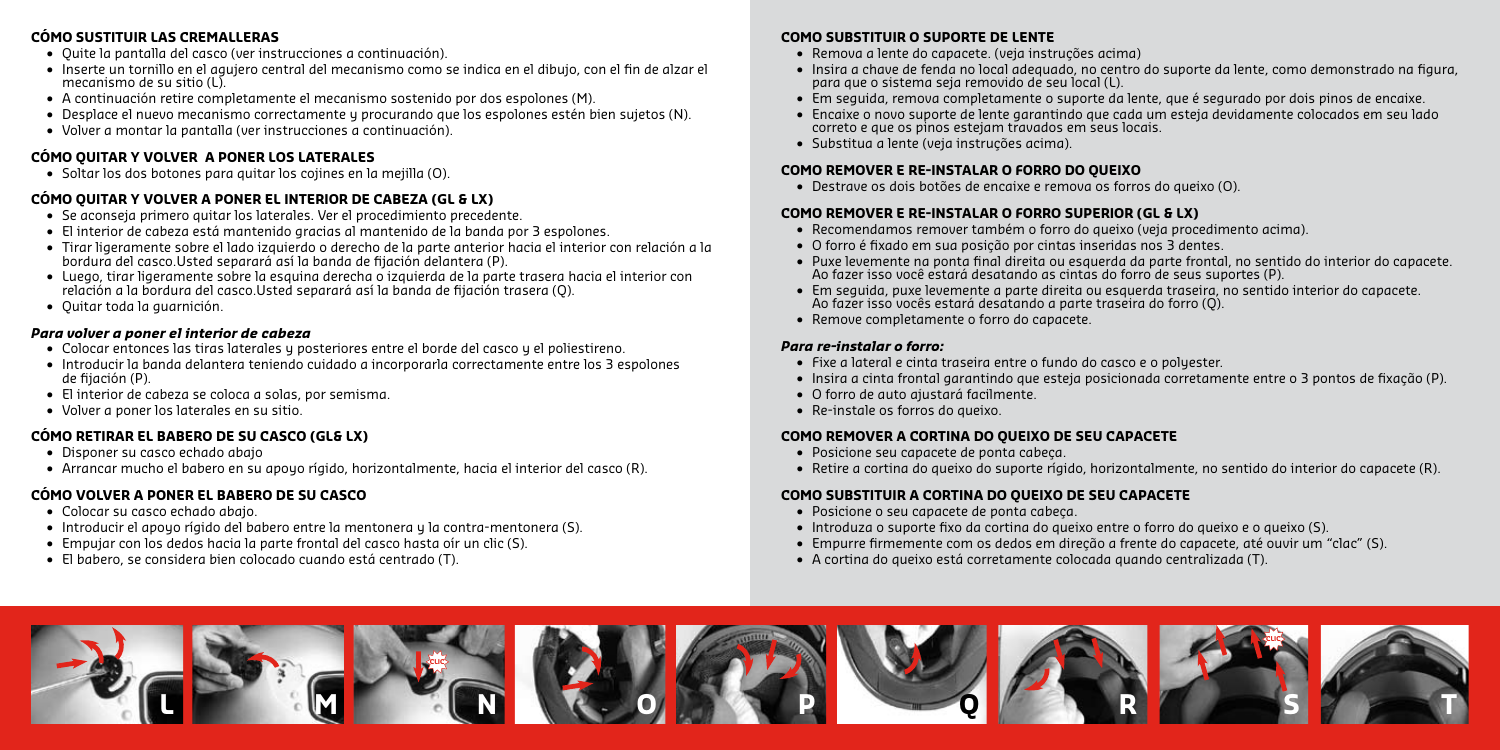### **CÓMO SUSTITUIR LAS CREMALLERAS**

- **•**  Quite la pantalla del casco (ver instrucciones a continuación).
- **•**  Inserte un tornillo en el agujero central del mecanismo como se indica en el dibujo, con el fin de alzar el mecanismo de su sitio (L)
- **•**  A continuación retire completamente el mecanismo sostenido por dos espolones (M).
- **•**  Desplace el nuevo mecanismo correctamente y procurando que los espolones estén bien sujetos (N).
- **•**  Volver a montar la pantalla (ver instrucciones a continuación).

# **CÓMO QUITAR Y VOLVER A PONER LOS LATERALES**

 **•**  Soltar los dos botones para quitar los cojines en la mejilla (O).

### **CÓMO QUITAR Y VOLVER A PONER EL INTERIOR DE CABEZA (GL & LX)**

- **•**  Se aconseja primero quitar los laterales. Ver el procedimiento precedente.
- **•**  El interior de cabeza está mantenido gracias al mantenido de la banda por 3 espolones.
- **•**  Tirar ligeramente sobre el lado izquierdo o derecho de la parte anterior hacia el interior con relación a la bordura del casco.Usted separará así la banda de fijación delantera (P).
- **•**  Luego, tirar ligeramente sobre la esquina derecha o izquierda de la parte trasera hacia el interior con relación a la bordura del casco.Usted separará así la banda de fijación trasera (Q).
- **•**  Quitar toda la guarnición.

### *Para volver a poner el interior de cabeza*

- Colocar entonces las tiras laterales y posteriores entre el borde del casco y el poliestireno.
- **•**  Introducir la banda delantera teniendo cuidado a incorporarla correctamente entre los 3 espolones de fijación (P).
- **•**  El interior de cabeza se coloca a solas, por semisma.
- **•**  Volver a poner los laterales en su sitio.

# **CÓMO RETIRAR EL BABERO DE SU CASCO (GL& LX)**

- **•**  Disponer su casco echado abajo
- **•**  Arrancar mucho el babero en su apoyo rígido, horizontalmente, hacia el interior del casco (R).

# **CÓMO VOLVER A PONER EL BABERO DE SU CASCO**

- **•**  Colocar su casco echado abajo.
- **•**  Introducir el apoyo rígido del babero entre la mentonera y la contra-mentonera (S).
- **•**  Empujar con los dedos hacia la parte frontal del casco hasta oír un clic (S).
- **•**  El babero, se considera bien colocado cuando está centrado (T).

# **COMO SUBSTITUIR O SUPORTE DE LENTE**

- **•**  Remova a lente do capacete. (veja instruções acima)
- **•**  Insira a chave de fenda no local adequado, no centro do suporte da lente, como demonstrado na figura, para que o sistema seja removido de seu local (L).
- **•**  Em seguida, remova completamente o suporte da lente, que é segurado por dois pinos de encaixe.
- **•**  Encaixe o novo suporte de lente garantindo que cada um esteja devidamente colocados em seu lado correto e que os pinos estejam travados em seus locais.
- **•**  Substitua a lente (veja instruções acima).

### **COMO REMOVER E RE-INSTALAR O FORRO DO QUEIXO**

 **•**  Destrave os dois botões de encaixe e remova os forros do queixo (O).

### **COMO REMOVER E RE-INSTALAR O FORRO SUPERIOR (GL & LX)**

- **•**  Recomendamos remover também o forro do queixo (veja procedimento acima).
- **•**  O forro é fixado em sua posição por cintas inseridas nos 3 dentes.
- **•**  Puxe levemente na ponta final direita ou esquerda da parte frontal, no sentido do interior do capacete. Ao fazer isso você estará desatando as cintas do forro de seus suportes (P).
- **•**  Em seguida, puxe levemente a parte direita ou esquerda traseira, no sentido interior do capacete. Ao fazer isso vocês estará desatando a parte traseira do forro (Q).
- **•**  Remove completamente o forro do capacete.

### *Para re-instalar o forro:*

- **•**  Fixe a lateral e cinta traseira entre o fundo do casco e o polyester.
- **•**  Insira a cinta frontal garantindo que esteja posicionada corretamente entre o 3 pontos de fixação (P).
- **•**  O forro de auto ajustará facilmente.
- **•**  Re-instale os forros do queixo.

# **COMO REMOVER A CORTINA DO QUEIXO DE SEU CAPACETE**

- **•**  Posicione seu capacete de ponta cabeça.
- **•**  Retire a cortina do queixo do suporte rígido, horizontalmente, no sentido do interior do capacete (R).

# **COMO SUBSTITUIR A CORTINA DO QUEIXO DE SEU CAPACETE**

- **•**  Posicione o seu capacete de ponta cabeça.
- **•**  Introduza o suporte fixo da cortina do queixo entre o forro do queixo e o queixo (S).
- **•**  Empurre firmemente com os dedos em direção a frente do capacete, até ouvir um "clac" (S).
- **•**  A cortina do queixo está corretamente colocada quando centralizada (T).

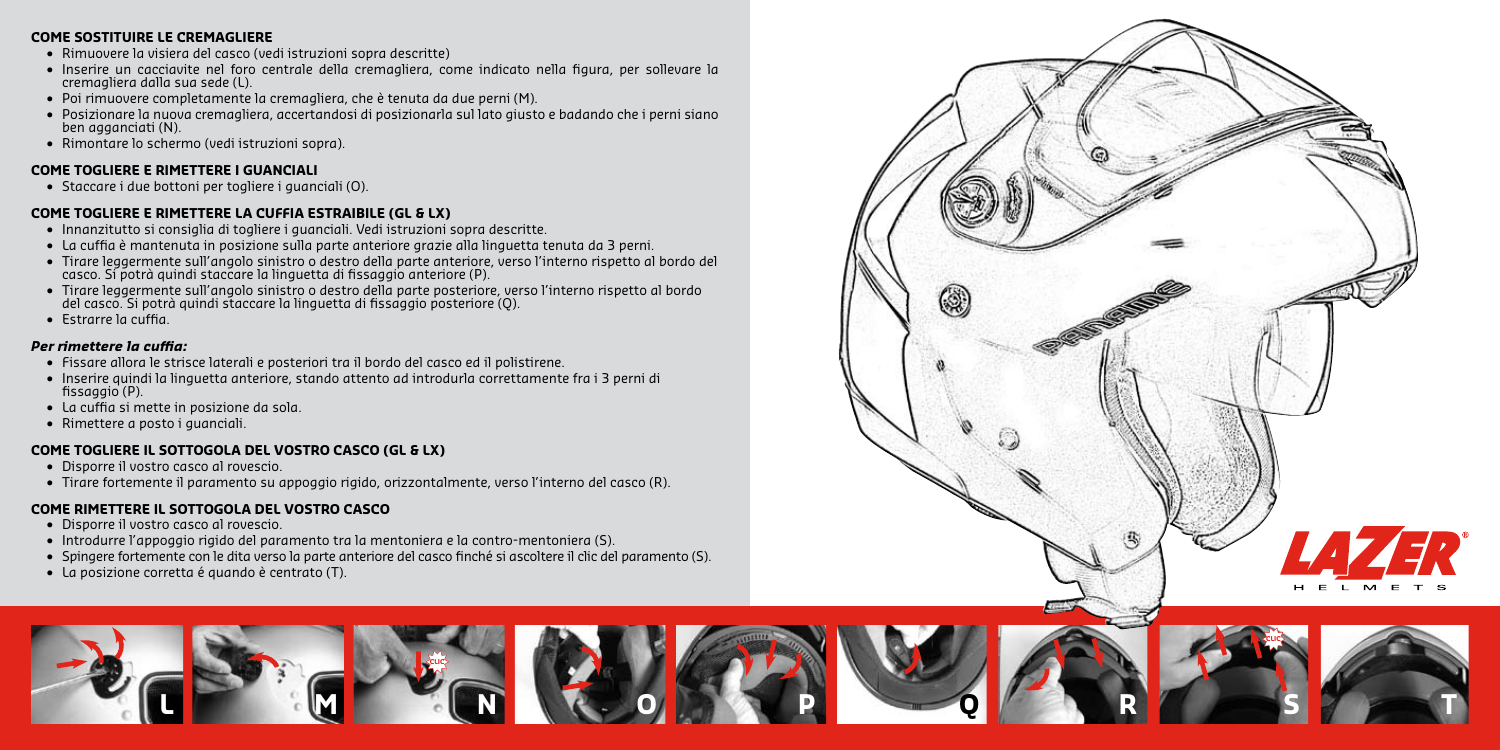#### **COME SOSTITUIRE LE CREMAGLIERE**

- **•**  Rimuovere la visiera del casco (vedi istruzioni sopra descritte)
- **•**  Inserire un cacciavite nel foro centrale della cremagliera, come indicato nella figura, per sollevare la cremagliera dalla sua sede (L).
- **•**  Poi rimuovere completamente la cremagliera, che è tenuta da due perni (M).
- **•**  Posizionare la nuova cremagliera, accertandosi di posizionarla sul lato giusto e badando che i perni siano ben agganciati (N).
- **•**  Rimontare lo schermo (vedi istruzioni sopra).

#### **COME TOGLIERE E RIMETTERE I GUANCIALI**

 **•**  Staccare i due bottoni per togliere i guanciali (O).

#### **COME TOGLIERE E RIMETTERE LA CUFFIA ESTRAIBILE (GL & LX)**

- **•**  Innanzitutto si consiglia di togliere i guanciali. Vedi istruzioni sopra descritte.
- **•**  La cuffia è mantenuta in posizione sulla parte anteriore grazie alla linguetta tenuta da 3 perni.
- **•**  Tirare leggermente sull'angolo sinistro o destro della parte anteriore, verso l'interno rispetto al bordo del casco. Si potrà quindi staccare la linguetta di fissaggio anteriore (P).
- **•**  Tirare leggermente sull'angolo sinistro o destro della parte posteriore, verso l'interno rispetto al bordo del casco. Si potrà quindi staccare la linguetta di fissaggio posteriore (Q).
- **•**  Estrarre la cuffia.

#### *Per rimettere la cuffia:*

- **•**  Fissare allora le strisce laterali e posteriori tra il bordo del casco ed il polistirene.
- **•**  Inserire quindi la linguetta anteriore, stando attento ad introdurla correttamente fra i 3 perni di fissaggio (P).
- **•**  La cuffia si mette in posizione da sola.
- **•**  Rimettere a posto i guanciali.

### **COME TOGLIERE IL SOTTOGOLA DEL VOSTRO CASCO (GL & LX)**

- **•**  Disporre il vostro casco al rovescio.
- **•**  Tirare fortemente il paramento su appoggio rigido, orizzontalmente, verso l'interno del casco (R).

### **COME RIMETTERE IL SOTTOGOLA DEL VOSTRO CASCO**

 **•**  Disporre il vostro casco al rovescio.

**L**

 **•**  Introdurre l'appoggio rigido del paramento tra la mentoniera e la contro-mentoniera (S).

**M**

 **•**  Spingere fortemente con le dita verso la parte anteriore del casco finché si ascoltere il clic del paramento (S).

**CLIC**

**N**

**O**

 **•**  La posizione corretta é quando è centrato (T).